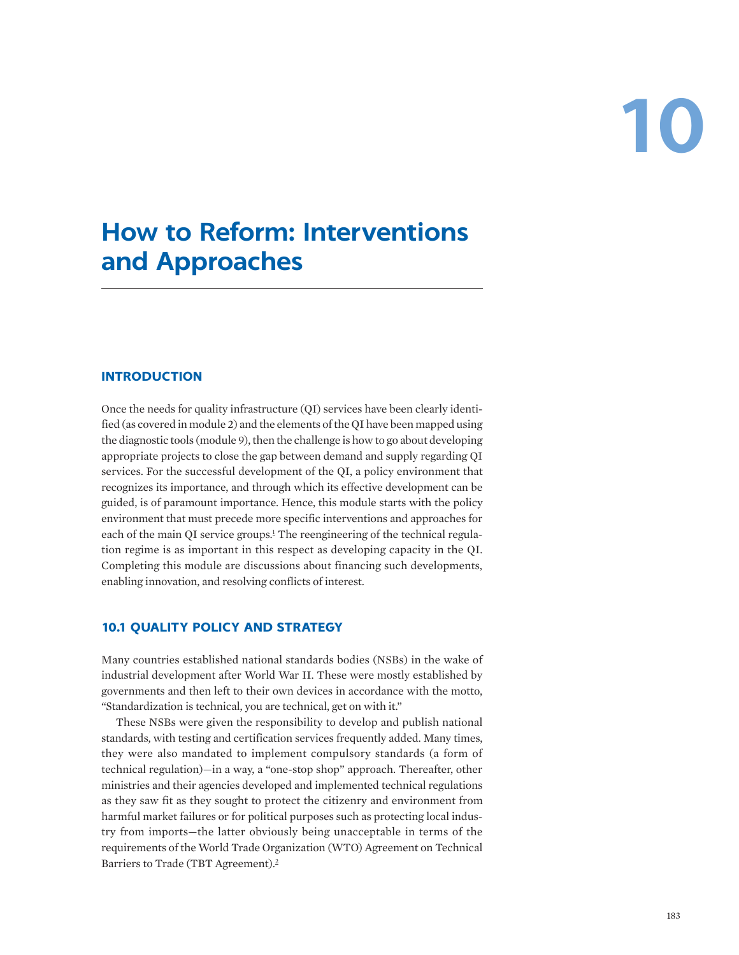# **10**

# **How to Reform: Interventions and Approaches**

# **INTRODUCTION**

Once the needs for quality infrastructure (QI) services have been clearly identified (as covered in module 2) and the elements of the QI have been mapped using the diagnostic tools (module 9), then the challenge is how to go about developing appropriate projects to close the gap between demand and supply regarding QI services. For the successful development of the QI, a policy environment that recognizes its importance, and through which its effective development can be guided, is of paramount importance. Hence, this module starts with the policy environment that must precede more specific interventions and approaches for each of the main QI service groups.<sup>1</sup> The reengineering of the technical regulation regime is as important in this respect as developing capacity in the QI. Completing this module are discussions about financing such developments, enabling innovation, and resolving conflicts of interest.

# **10.1 QUALITY POLICY AND STRATEGY**

Many countries established national standards bodies (NSBs) in the wake of industrial development after World War II. These were mostly established by governments and then left to their own devices in accordance with the motto, "Standardization is technical, you are technical, get on with it."

These NSBs were given the responsibility to develop and publish national standards, with testing and certification services frequently added. Many times, they were also mandated to implement compulsory standards (a form of technical regulation)—in a way, a "one-stop shop" approach. Thereafter, other ministries and their agencies developed and implemented technical regulations as they saw fit as they sought to protect the citizenry and environment from harmful market failures or for political purposes such as protecting local industry from imports—the latter obviously being unacceptable in terms of the requirements of the World Trade Organization (WTO) Agreement on Technical Barriers to Trade (TBT Agreement).2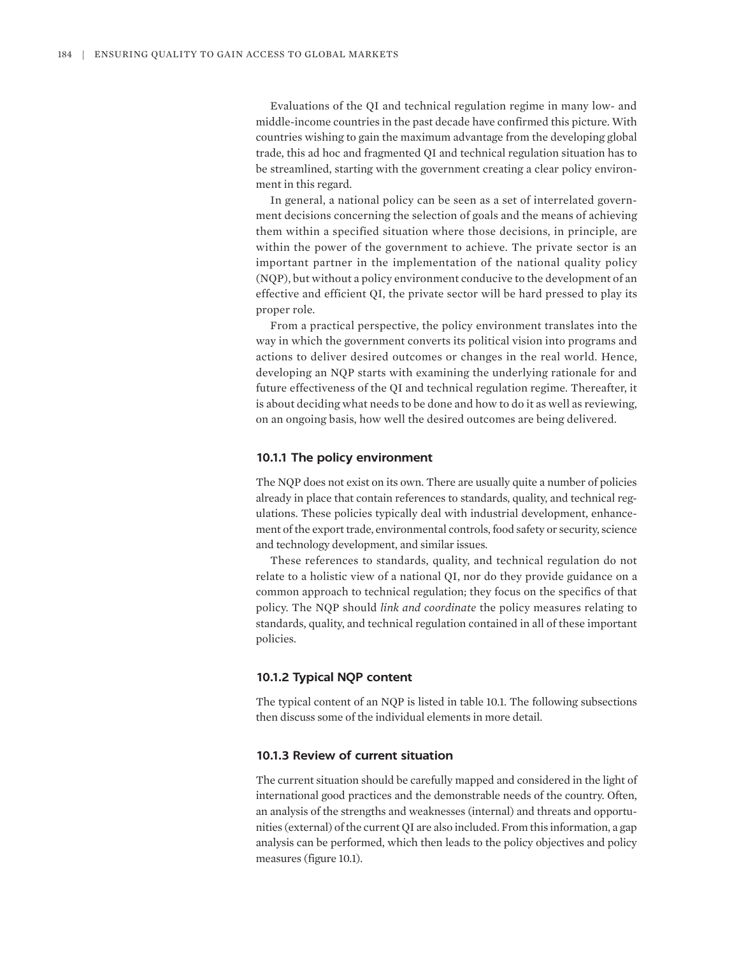Evaluations of the QI and technical regulation regime in many low- and middle-income countries in the past decade have confirmed this picture. With countries wishing to gain the maximum advantage from the developing global trade, this ad hoc and fragmented QI and technical regulation situation has to be streamlined, starting with the government creating a clear policy environment in this regard.

In general, a national policy can be seen as a set of interrelated government decisions concerning the selection of goals and the means of achieving them within a specified situation where those decisions, in principle, are within the power of the government to achieve. The private sector is an important partner in the implementation of the national quality policy (NQP), but without a policy environment conducive to the development of an effective and efficient QI, the private sector will be hard pressed to play its proper role.

From a practical perspective, the policy environment translates into the way in which the government converts its political vision into programs and actions to deliver desired outcomes or changes in the real world. Hence, developing an NQP starts with examining the underlying rationale for and future effectiveness of the QI and technical regulation regime. Thereafter, it is about deciding what needs to be done and how to do it as well as reviewing, on an ongoing basis, how well the desired outcomes are being delivered.

#### **10.1.1 The policy environment**

The NQP does not exist on its own. There are usually quite a number of policies already in place that contain references to standards, quality, and technical regulations. These policies typically deal with industrial development, enhancement of the export trade, environmental controls, food safety or security, science and technology development, and similar issues.

These references to standards, quality, and technical regulation do not relate to a holistic view of a national QI, nor do they provide guidance on a common approach to technical regulation; they focus on the specifics of that policy. The NQP should *link and coordinate* the policy measures relating to standards, quality, and technical regulation contained in all of these important policies.

# **10.1.2 Typical NQP content**

The typical content of an NQP is listed in table 10.1. The following subsections then discuss some of the individual elements in more detail.

# **10.1.3 Review of current situation**

The current situation should be carefully mapped and considered in the light of international good practices and the demonstrable needs of the country. Often, an analysis of the strengths and weaknesses (internal) and threats and opportunities (external) of the current QI are also included. From this information, a gap analysis can be performed, which then leads to the policy objectives and policy measures (figure 10.1).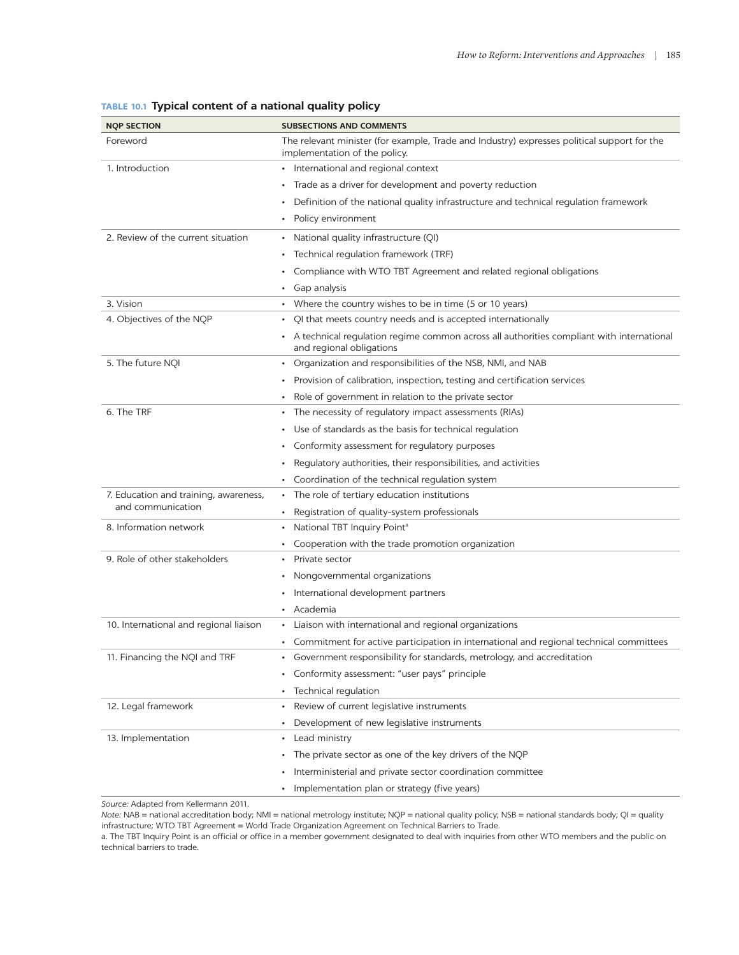| <b>NOP SECTION</b>                                         | <b>SUBSECTIONS AND COMMENTS</b>                                                                                              |
|------------------------------------------------------------|------------------------------------------------------------------------------------------------------------------------------|
| Foreword                                                   | The relevant minister (for example, Trade and Industry) expresses political support for the<br>implementation of the policy. |
| 1. Introduction                                            | • International and regional context                                                                                         |
|                                                            | Trade as a driver for development and poverty reduction                                                                      |
|                                                            | Definition of the national quality infrastructure and technical regulation framework                                         |
|                                                            | Policy environment                                                                                                           |
| 2. Review of the current situation                         | National quality infrastructure (QI)<br>٠                                                                                    |
|                                                            | Technical regulation framework (TRF)                                                                                         |
|                                                            | Compliance with WTO TBT Agreement and related regional obligations                                                           |
|                                                            | Gap analysis                                                                                                                 |
| 3. Vision                                                  | • Where the country wishes to be in time (5 or 10 years)                                                                     |
| 4. Objectives of the NQP                                   | QI that meets country needs and is accepted internationally                                                                  |
|                                                            | A technical regulation regime common across all authorities compliant with international<br>and regional obligations         |
| 5. The future NQI                                          | Organization and responsibilities of the NSB, NMI, and NAB<br>$\bullet$                                                      |
|                                                            | Provision of calibration, inspection, testing and certification services                                                     |
|                                                            | Role of government in relation to the private sector                                                                         |
| 6. The TRF                                                 | The necessity of regulatory impact assessments (RIAs)                                                                        |
|                                                            | Use of standards as the basis for technical regulation                                                                       |
|                                                            | Conformity assessment for regulatory purposes                                                                                |
|                                                            | Regulatory authorities, their responsibilities, and activities                                                               |
|                                                            | Coordination of the technical regulation system                                                                              |
| 7. Education and training, awareness,<br>and communication | The role of tertiary education institutions                                                                                  |
|                                                            | Registration of quality-system professionals                                                                                 |
| 8. Information network                                     | National TBT Inquiry Point <sup>a</sup>                                                                                      |
|                                                            | Cooperation with the trade promotion organization                                                                            |
| 9. Role of other stakeholders                              | Private sector                                                                                                               |
|                                                            | Nongovernmental organizations                                                                                                |
|                                                            | International development partners                                                                                           |
|                                                            | Academia                                                                                                                     |
| 10. International and regional liaison                     | Liaison with international and regional organizations                                                                        |
|                                                            | Commitment for active participation in international and regional technical committees                                       |
| 11. Financing the NQI and TRF                              | Government responsibility for standards, metrology, and accreditation                                                        |
|                                                            | Conformity assessment: "user pays" principle                                                                                 |
|                                                            | Technical regulation                                                                                                         |
| 12. Legal framework                                        | Review of current legislative instruments                                                                                    |
|                                                            | Development of new legislative instruments                                                                                   |
| 13. Implementation                                         | Lead ministry<br>$\bullet$                                                                                                   |
|                                                            | The private sector as one of the key drivers of the NQP<br>٠                                                                 |
|                                                            | Interministerial and private sector coordination committee                                                                   |
|                                                            | Implementation plan or strategy (five years)<br>$\bullet$                                                                    |

# **TABLE 10.1 Typical content of a national quality policy**

*Source:* Adapted from Kellermann 2011.

a. The TBT Inquiry Point is an official or office in a member government designated to deal with inquiries from other WTO members and the public on technical barriers to trade.

*Note:* NAB = national accreditation body; NMI = national metrology institute; NQP = national quality policy; NSB = national standards body; QI = quality infrastructure; WTO TBT Agreement = World Trade Organization Agreement on Technical Barriers to Trade.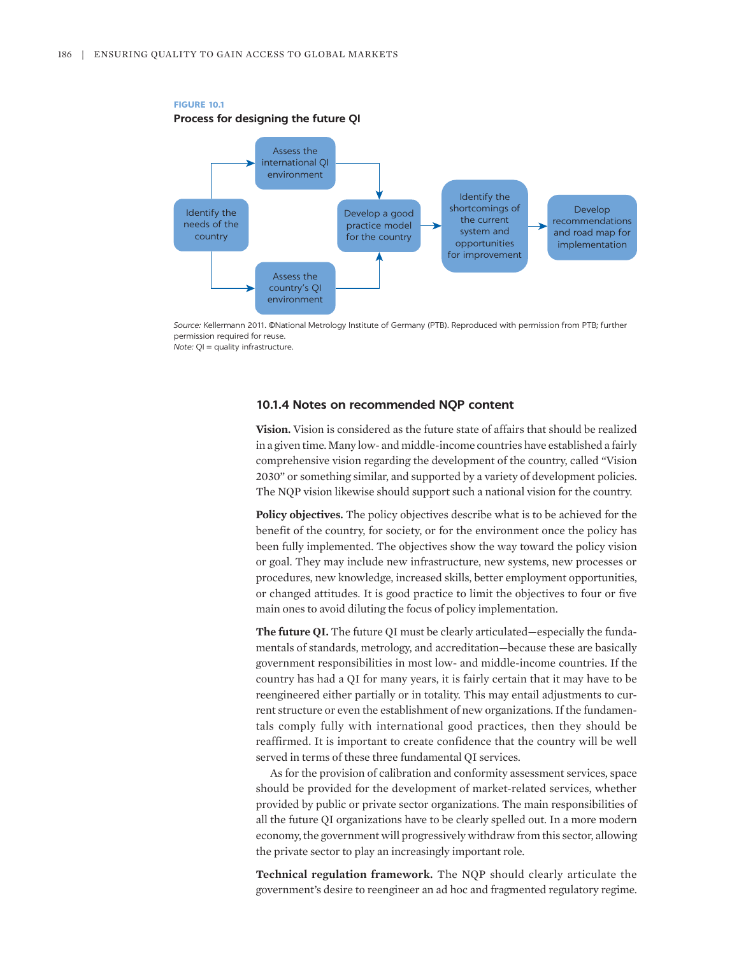

### **FIGURE 10.1 Process for designing the future QI**

*Source:* Kellermann 2011. ©National Metrology Institute of Germany (PTB). Reproduced with permission from PTB; further permission required for reuse. *Note:* QI = quality infrastructure.

### **10.1.4 Notes on recommended NQP content**

**Vision.** Vision is considered as the future state of affairs that should be realized in a given time. Many low- and middle-income countries have established a fairly comprehensive vision regarding the development of the country, called "Vision 2030" or something similar, and supported by a variety of development policies. The NQP vision likewise should support such a national vision for the country.

**Policy objectives.** The policy objectives describe what is to be achieved for the benefit of the country, for society, or for the environment once the policy has been fully implemented. The objectives show the way toward the policy vision or goal. They may include new infrastructure, new systems, new processes or procedures, new knowledge, increased skills, better employment opportunities, or changed attitudes. It is good practice to limit the objectives to four or five main ones to avoid diluting the focus of policy implementation.

**The future QI.** The future QI must be clearly articulated—especially the fundamentals of standards, metrology, and accreditation—because these are basically government responsibilities in most low- and middle-income countries. If the country has had a QI for many years, it is fairly certain that it may have to be reengineered either partially or in totality. This may entail adjustments to current structure or even the establishment of new organizations. If the fundamentals comply fully with international good practices, then they should be reaffirmed. It is important to create confidence that the country will be well served in terms of these three fundamental QI services.

As for the provision of calibration and conformity assessment services, space should be provided for the development of market-related services, whether provided by public or private sector organizations. The main responsibilities of all the future QI organizations have to be clearly spelled out. In a more modern economy, the government will progressively withdraw from this sector, allowing the private sector to play an increasingly important role.

**Technical regulation framework.** The NQP should clearly articulate the government's desire to reengineer an ad hoc and fragmented regulatory regime.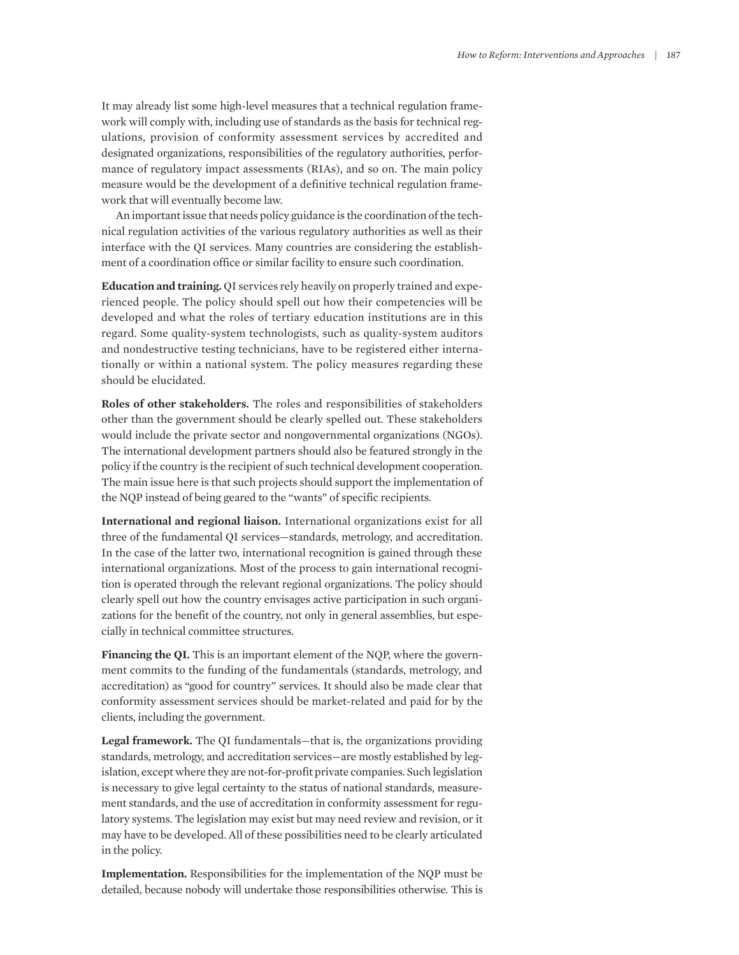It may already list some high-level measures that a technical regulation framework will comply with, including use of standards as the basis for technical regulations, provision of conformity assessment services by accredited and designated organizations, responsibilities of the regulatory authorities, performance of regulatory impact assessments (RIAs), and so on. The main policy measure would be the development of a definitive technical regulation framework that will eventually become law.

An important issue that needs policy guidance is the coordination of the technical regulation activities of the various regulatory authorities as well as their interface with the QI services. Many countries are considering the establishment of a coordination office or similar facility to ensure such coordination.

**Education and training.** QI services rely heavily on properly trained and experienced people. The policy should spell out how their competencies will be developed and what the roles of tertiary education institutions are in this regard. Some quality-system technologists, such as quality-system auditors and nondestructive testing technicians, have to be registered either internationally or within a national system. The policy measures regarding these should be elucidated.

**Roles of other stakeholders.** The roles and responsibilities of stakeholders other than the government should be clearly spelled out. These stakeholders would include the private sector and nongovernmental organizations (NGOs). The international development partners should also be featured strongly in the policy if the country is the recipient of such technical development cooperation. The main issue here is that such projects should support the implementation of the NQP instead of being geared to the "wants" of specific recipients.

**International and regional liaison.** International organizations exist for all three of the fundamental QI services—standards, metrology, and accreditation. In the case of the latter two, international recognition is gained through these international organizations. Most of the process to gain international recognition is operated through the relevant regional organizations. The policy should clearly spell out how the country envisages active participation in such organizations for the benefit of the country, not only in general assemblies, but especially in technical committee structures.

**Financing the QI.** This is an important element of the NQP, where the government commits to the funding of the fundamentals (standards, metrology, and accreditation) as "good for country" services. It should also be made clear that conformity assessment services should be market-related and paid for by the clients, including the government.

**Legal framework.** The QI fundamentals—that is, the organizations providing standards, metrology, and accreditation services—are mostly established by legislation, except where they are not-for-profit private companies. Such legislation is necessary to give legal certainty to the status of national standards, measurement standards, and the use of accreditation in conformity assessment for regulatory systems. The legislation may exist but may need review and revision, or it may have to be developed. All of these possibilities need to be clearly articulated in the policy.

**Implementation.** Responsibilities for the implementation of the NQP must be detailed, because nobody will undertake those responsibilities otherwise. This is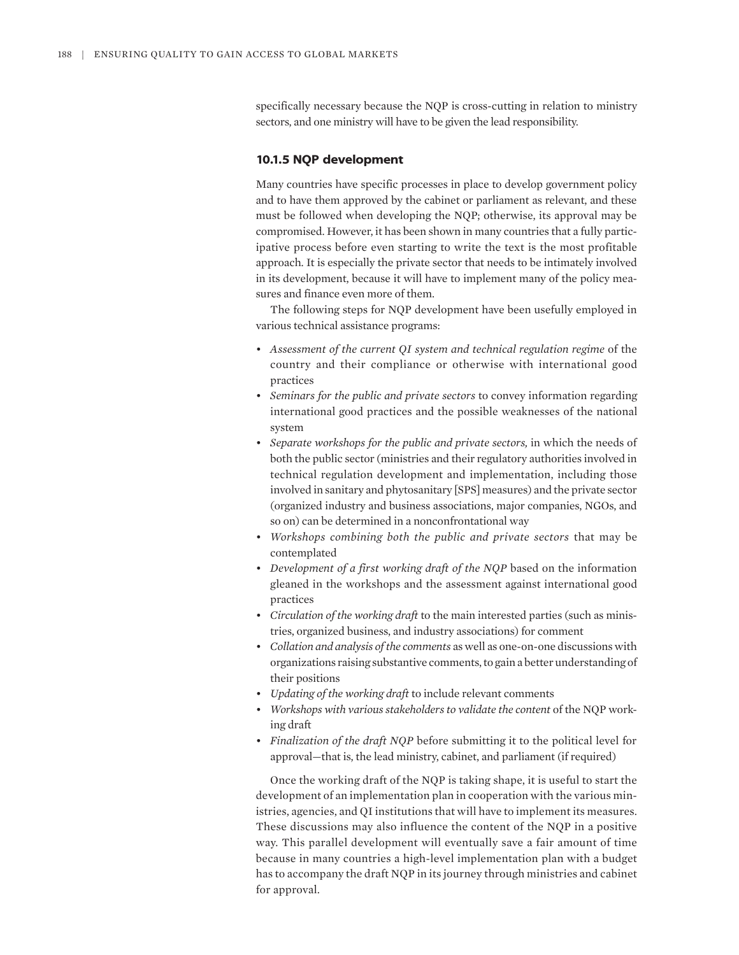specifically necessary because the NQP is cross-cutting in relation to ministry sectors, and one ministry will have to be given the lead responsibility.

# **10.1.5 NQP development**

Many countries have specific processes in place to develop government policy and to have them approved by the cabinet or parliament as relevant, and these must be followed when developing the NQP; otherwise, its approval may be compromised. However, it has been shown in many countries that a fully participative process before even starting to write the text is the most profitable approach. It is especially the private sector that needs to be intimately involved in its development, because it will have to implement many of the policy measures and finance even more of them.

The following steps for NQP development have been usefully employed in various technical assistance programs:

- *Assessment of the current QI system and technical regulation regime* of the country and their compliance or otherwise with international good practices
- *Seminars for the public and private sectors* to convey information regarding international good practices and the possible weaknesses of the national system
- *Separate workshops for the public and private sectors,* in which the needs of both the public sector (ministries and their regulatory authorities involved in technical regulation development and implementation, including those involved in sanitary and phytosanitary [SPS] measures) and the private sector (organized industry and business associations, major companies, NGOs, and so on) can be determined in a nonconfrontational way
- *Workshops combining both the public and private sectors* that may be contemplated
- *Development of a first working draft of the NQP* based on the information gleaned in the workshops and the assessment against international good practices
- *Circulation of the working draft* to the main interested parties (such as ministries, organized business, and industry associations) for comment
- *Collation and analysis of the comments* as well as one-on-one discussions with organizations raising substantive comments, to gain a better understanding of their positions
- *Updating of the working draft* to include relevant comments
- *Workshops with various stakeholders to validate the content* of the NQP working draft
- *Finalization of the draft NQP* before submitting it to the political level for approval—that is, the lead ministry, cabinet, and parliament (if required)

Once the working draft of the NQP is taking shape, it is useful to start the development of an implementation plan in cooperation with the various ministries, agencies, and QI institutions that will have to implement its measures. These discussions may also influence the content of the NQP in a positive way. This parallel development will eventually save a fair amount of time because in many countries a high-level implementation plan with a budget has to accompany the draft NQP in its journey through ministries and cabinet for approval.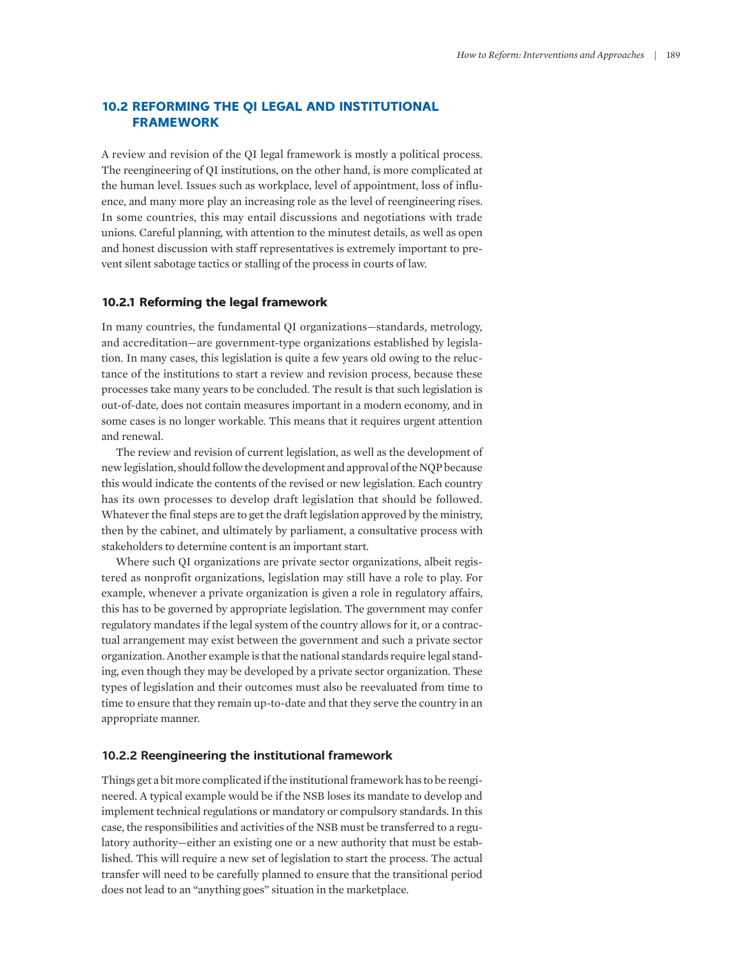# **10.2 REFORMING THE QI LEGAL AND INSTITUTIONAL FRAMEWORK**

A review and revision of the QI legal framework is mostly a political process. The reengineering of QI institutions, on the other hand, is more complicated at the human level. Issues such as workplace, level of appointment, loss of influence, and many more play an increasing role as the level of reengineering rises. In some countries, this may entail discussions and negotiations with trade unions. Careful planning, with attention to the minutest details, as well as open and honest discussion with staff representatives is extremely important to prevent silent sabotage tactics or stalling of the process in courts of law.

## **10.2.1 Reforming the legal framework**

In many countries, the fundamental QI organizations—standards, metrology, and accreditation—are government-type organizations established by legislation. In many cases, this legislation is quite a few years old owing to the reluctance of the institutions to start a review and revision process, because these processes take many years to be concluded. The result is that such legislation is out-of-date, does not contain measures important in a modern economy, and in some cases is no longer workable. This means that it requires urgent attention and renewal.

The review and revision of current legislation, as well as the development of new legislation, should follow the development and approval of the NQP because this would indicate the contents of the revised or new legislation. Each country has its own processes to develop draft legislation that should be followed. Whatever the final steps are to get the draft legislation approved by the ministry, then by the cabinet, and ultimately by parliament, a consultative process with stakeholders to determine content is an important start.

Where such QI organizations are private sector organizations, albeit registered as nonprofit organizations, legislation may still have a role to play. For example, whenever a private organization is given a role in regulatory affairs, this has to be governed by appropriate legislation. The government may confer regulatory mandates if the legal system of the country allows for it, or a contractual arrangement may exist between the government and such a private sector organization. Another example is that the national standards require legal standing, even though they may be developed by a private sector organization. These types of legislation and their outcomes must also be reevaluated from time to time to ensure that they remain up-to-date and that they serve the country in an appropriate manner.

# **10.2.2 Reengineering the institutional framework**

Things get a bit more complicated if the institutional framework has to be reengineered. A typical example would be if the NSB loses its mandate to develop and implement technical regulations or mandatory or compulsory standards. In this case, the responsibilities and activities of the NSB must be transferred to a regulatory authority—either an existing one or a new authority that must be established. This will require a new set of legislation to start the process. The actual transfer will need to be carefully planned to ensure that the transitional period does not lead to an "anything goes" situation in the marketplace.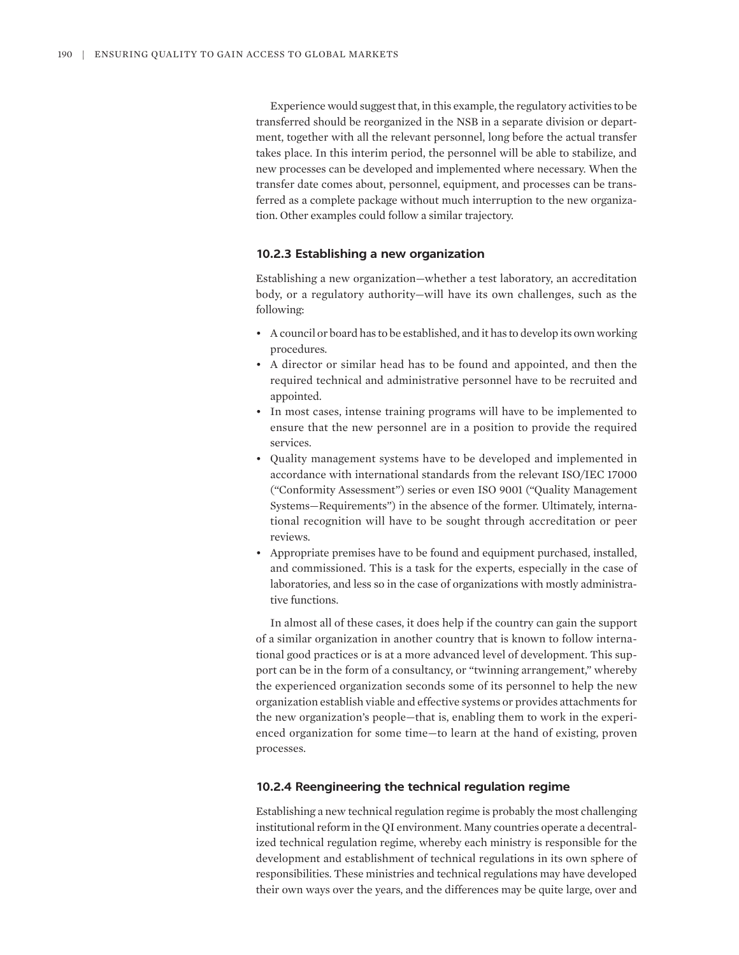Experience would suggest that, in this example, the regulatory activities to be transferred should be reorganized in the NSB in a separate division or department, together with all the relevant personnel, long before the actual transfer takes place. In this interim period, the personnel will be able to stabilize, and new processes can be developed and implemented where necessary. When the transfer date comes about, personnel, equipment, and processes can be transferred as a complete package without much interruption to the new organization. Other examples could follow a similar trajectory.

#### **10.2.3 Establishing a new organization**

Establishing a new organization—whether a test laboratory, an accreditation body, or a regulatory authority—will have its own challenges, such as the following:

- A council or board has to be established, and it has to develop its own working procedures.
- A director or similar head has to be found and appointed, and then the required technical and administrative personnel have to be recruited and appointed.
- In most cases, intense training programs will have to be implemented to ensure that the new personnel are in a position to provide the required services.
- Quality management systems have to be developed and implemented in accordance with international standards from the relevant ISO/IEC 17000 ("Conformity Assessment") series or even ISO 9001 ("Quality Management Systems—Requirements") in the absence of the former. Ultimately, international recognition will have to be sought through accreditation or peer reviews.
- Appropriate premises have to be found and equipment purchased, installed, and commissioned. This is a task for the experts, especially in the case of laboratories, and less so in the case of organizations with mostly administrative functions.

In almost all of these cases, it does help if the country can gain the support of a similar organization in another country that is known to follow international good practices or is at a more advanced level of development. This support can be in the form of a consultancy, or "twinning arrangement," whereby the experienced organization seconds some of its personnel to help the new organization establish viable and effective systems or provides attachments for the new organization's people—that is, enabling them to work in the experienced organization for some time—to learn at the hand of existing, proven processes.

## **10.2.4 Reengineering the technical regulation regime**

Establishing a new technical regulation regime is probably the most challenging institutional reform in the QI environment. Many countries operate a decentralized technical regulation regime, whereby each ministry is responsible for the development and establishment of technical regulations in its own sphere of responsibilities. These ministries and technical regulations may have developed their own ways over the years, and the differences may be quite large, over and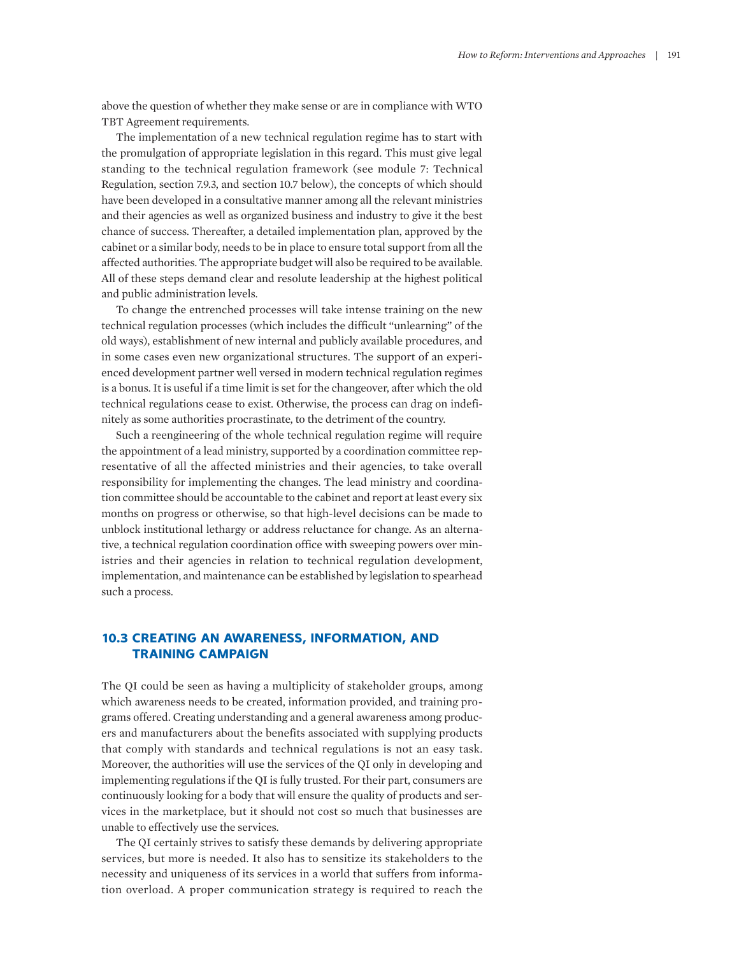above the question of whether they make sense or are in compliance with WTO TBT Agreement requirements.

The implementation of a new technical regulation regime has to start with the promulgation of appropriate legislation in this regard. This must give legal standing to the technical regulation framework (see module 7: Technical Regulation, section 7.9.3, and section 10.7 below), the concepts of which should have been developed in a consultative manner among all the relevant ministries and their agencies as well as organized business and industry to give it the best chance of success. Thereafter, a detailed implementation plan, approved by the cabinet or a similar body, needs to be in place to ensure total support from all the affected authorities. The appropriate budget will also be required to be available. All of these steps demand clear and resolute leadership at the highest political and public administration levels.

To change the entrenched processes will take intense training on the new technical regulation processes (which includes the difficult "unlearning" of the old ways), establishment of new internal and publicly available procedures, and in some cases even new organizational structures. The support of an experienced development partner well versed in modern technical regulation regimes is a bonus. It is useful if a time limit is set for the changeover, after which the old technical regulations cease to exist. Otherwise, the process can drag on indefinitely as some authorities procrastinate, to the detriment of the country.

Such a reengineering of the whole technical regulation regime will require the appointment of a lead ministry, supported by a coordination committee representative of all the affected ministries and their agencies, to take overall responsibility for implementing the changes. The lead ministry and coordination committee should be accountable to the cabinet and report at least every six months on progress or otherwise, so that high-level decisions can be made to unblock institutional lethargy or address reluctance for change. As an alternative, a technical regulation coordination office with sweeping powers over ministries and their agencies in relation to technical regulation development, implementation, and maintenance can be established by legislation to spearhead such a process.

# **10.3 CREATING AN AWARENESS, INFORMATION, AND TRAINING CAMPAIGN**

The QI could be seen as having a multiplicity of stakeholder groups, among which awareness needs to be created, information provided, and training programs offered. Creating understanding and a general awareness among producers and manufacturers about the benefits associated with supplying products that comply with standards and technical regulations is not an easy task. Moreover, the authorities will use the services of the QI only in developing and implementing regulations if the QI is fully trusted. For their part, consumers are continuously looking for a body that will ensure the quality of products and services in the marketplace, but it should not cost so much that businesses are unable to effectively use the services.

The QI certainly strives to satisfy these demands by delivering appropriate services, but more is needed. It also has to sensitize its stakeholders to the necessity and uniqueness of its services in a world that suffers from information overload. A proper communication strategy is required to reach the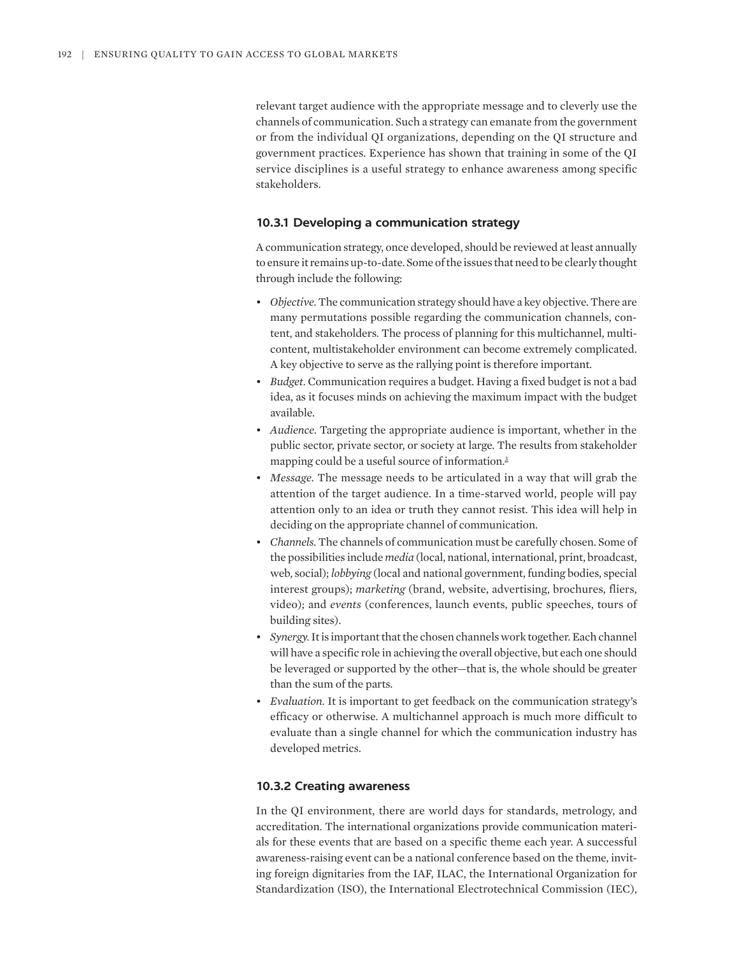relevant target audience with the appropriate message and to cleverly use the channels of communication. Such a strategy can emanate from the government or from the individual QI organizations, depending on the QI structure and government practices. Experience has shown that training in some of the QI service disciplines is a useful strategy to enhance awareness among specific stakeholders.

# **10.3.1 Developing a communication strategy**

A communication strategy, once developed, should be reviewed at least annually to ensure it remains up-to-date. Some of the issues that need to be clearly thought through include the following:

- *Objective.* The communication strategy should have a key objective. There are many permutations possible regarding the communication channels, content, and stakeholders. The process of planning for this multichannel, multicontent, multistakeholder environment can become extremely complicated. A key objective to serve as the rallying point is therefore important.
- *Budget.* Communication requires a budget. Having a fixed budget is not a bad idea, as it focuses minds on achieving the maximum impact with the budget available.
- *Audience.* Targeting the appropriate audience is important, whether in the public sector, private sector, or society at large. The results from stakeholder mapping could be a useful source of information.<sup>3</sup>
- *Message.* The message needs to be articulated in a way that will grab the attention of the target audience. In a time-starved world, people will pay attention only to an idea or truth they cannot resist. This idea will help in deciding on the appropriate channel of communication.
- *Channels.* The channels of communication must be carefully chosen. Some of the possibilities include *media* (local, national, international, print, broadcast, web, social); *lobbying* (local and national government, funding bodies, special interest groups); *marketing* (brand, website, advertising, brochures, fliers, video); and *events* (conferences, launch events, public speeches, tours of building sites).
- *Synergy.* It is important that the chosen channels work together. Each channel will have a specific role in achieving the overall objective, but each one should be leveraged or supported by the other—that is, the whole should be greater than the sum of the parts.
- *Evaluation.* It is important to get feedback on the communication strategy's efficacy or otherwise. A multichannel approach is much more difficult to evaluate than a single channel for which the communication industry has developed metrics.

# **10.3.2 Creating awareness**

In the QI environment, there are world days for standards, metrology, and accreditation. The international organizations provide communication materials for these events that are based on a specific theme each year. A successful awareness-raising event can be a national conference based on the theme, inviting foreign dignitaries from the IAF, ILAC, the International Organization for Standardization (ISO), the International Electrotechnical Commission (IEC),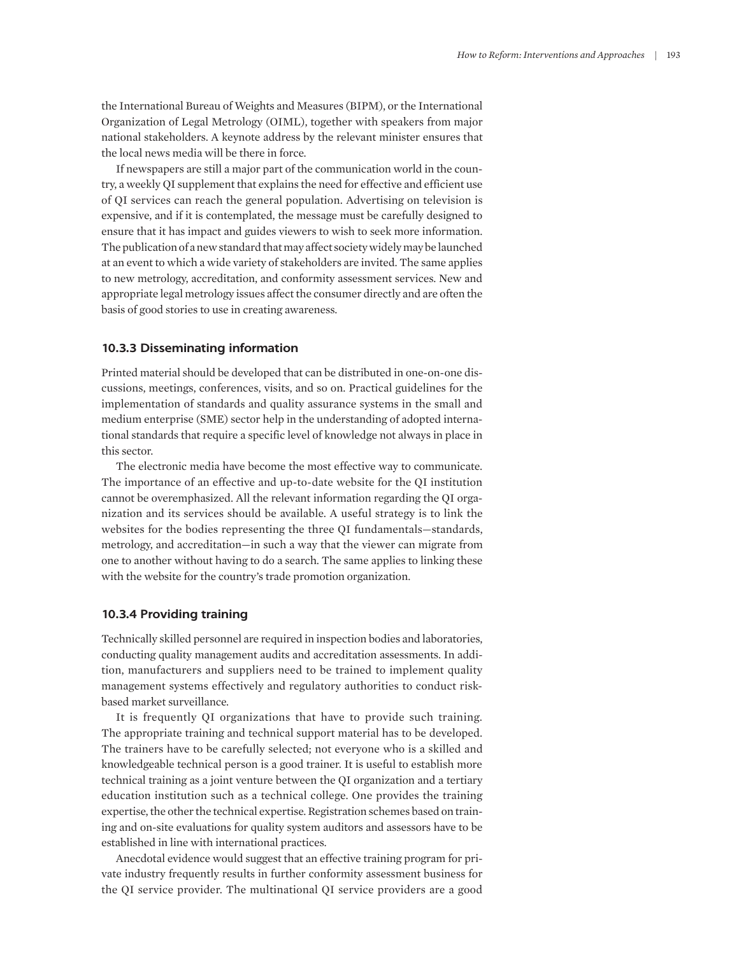the International Bureau of Weights and Measures (BIPM), or the International Organization of Legal Metrology (OIML), together with speakers from major national stakeholders. A keynote address by the relevant minister ensures that the local news media will be there in force.

If newspapers are still a major part of the communication world in the country, a weekly QI supplement that explains the need for effective and efficient use of QI services can reach the general population. Advertising on television is expensive, and if it is contemplated, the message must be carefully designed to ensure that it has impact and guides viewers to wish to seek more information. The publication of a new standard that may affect society widely may be launched at an event to which a wide variety of stakeholders are invited. The same applies to new metrology, accreditation, and conformity assessment services. New and appropriate legal metrology issues affect the consumer directly and are often the basis of good stories to use in creating awareness.

#### **10.3.3 Disseminating information**

Printed material should be developed that can be distributed in one-on-one discussions, meetings, conferences, visits, and so on. Practical guidelines for the implementation of standards and quality assurance systems in the small and medium enterprise (SME) sector help in the understanding of adopted international standards that require a specific level of knowledge not always in place in this sector.

The electronic media have become the most effective way to communicate. The importance of an effective and up-to-date website for the QI institution cannot be overemphasized. All the relevant information regarding the QI organization and its services should be available. A useful strategy is to link the websites for the bodies representing the three QI fundamentals—standards, metrology, and accreditation—in such a way that the viewer can migrate from one to another without having to do a search. The same applies to linking these with the website for the country's trade promotion organization.

#### **10.3.4 Providing training**

Technically skilled personnel are required in inspection bodies and laboratories, conducting quality management audits and accreditation assessments. In addition, manufacturers and suppliers need to be trained to implement quality management systems effectively and regulatory authorities to conduct riskbased market surveillance.

It is frequently QI organizations that have to provide such training. The appropriate training and technical support material has to be developed. The trainers have to be carefully selected; not everyone who is a skilled and knowledgeable technical person is a good trainer. It is useful to establish more technical training as a joint venture between the QI organization and a tertiary education institution such as a technical college. One provides the training expertise, the other the technical expertise. Registration schemes based on training and on-site evaluations for quality system auditors and assessors have to be established in line with international practices.

Anecdotal evidence would suggest that an effective training program for private industry frequently results in further conformity assessment business for the QI service provider. The multinational QI service providers are a good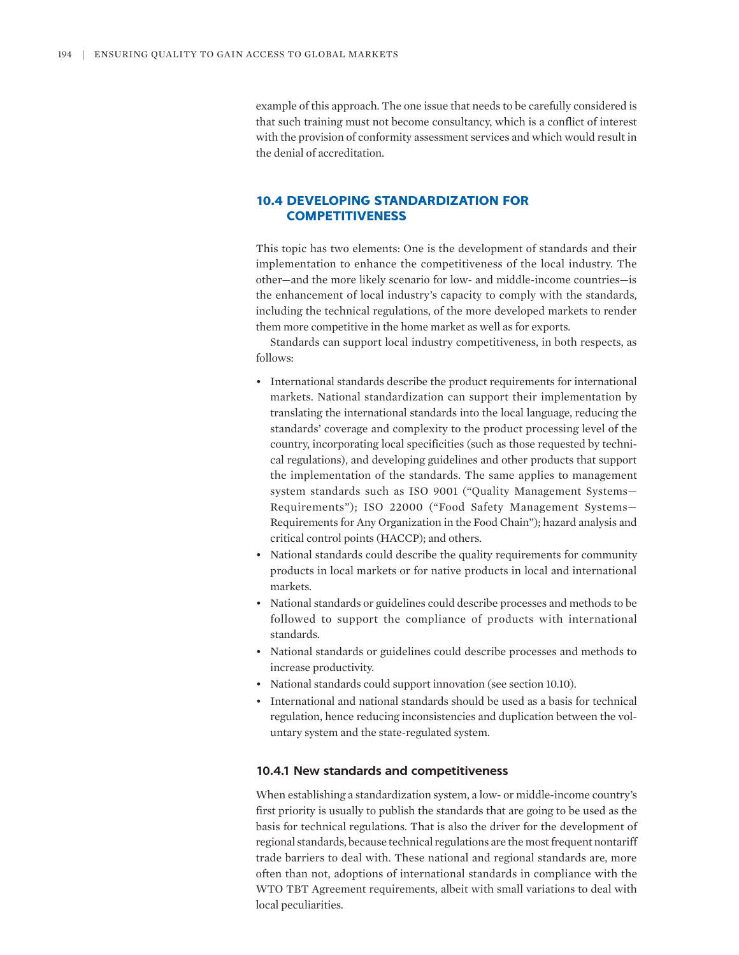example of this approach. The one issue that needs to be carefully considered is that such training must not become consultancy, which is a conflict of interest with the provision of conformity assessment services and which would result in the denial of accreditation.

# **10.4 DEVELOPING STANDARDIZATION FOR COMPETITIVENESS**

This topic has two elements: One is the development of standards and their implementation to enhance the competitiveness of the local industry. The other—and the more likely scenario for low- and middle-income countries—is the enhancement of local industry's capacity to comply with the standards, including the technical regulations, of the more developed markets to render them more competitive in the home market as well as for exports.

Standards can support local industry competitiveness, in both respects, as follows:

- International standards describe the product requirements for international markets. National standardization can support their implementation by translating the international standards into the local language, reducing the standards' coverage and complexity to the product processing level of the country, incorporating local specificities (such as those requested by technical regulations), and developing guidelines and other products that support the implementation of the standards. The same applies to management system standards such as ISO 9001 ("Quality Management Systems— Requirements"); ISO 22000 ("Food Safety Management Systems— Requirements for Any Organization in the Food Chain"); hazard analysis and critical control points (HACCP); and others.
- National standards could describe the quality requirements for community products in local markets or for native products in local and international markets.
- National standards or guidelines could describe processes and methods to be followed to support the compliance of products with international standards.
- National standards or guidelines could describe processes and methods to increase productivity.
- National standards could support innovation (see section 10.10).
- International and national standards should be used as a basis for technical regulation, hence reducing inconsistencies and duplication between the voluntary system and the state-regulated system.

#### **10.4.1 New standards and competitiveness**

When establishing a standardization system, a low- or middle-income country's first priority is usually to publish the standards that are going to be used as the basis for technical regulations. That is also the driver for the development of regional standards, because technical regulations are the most frequent nontariff trade barriers to deal with. These national and regional standards are, more often than not, adoptions of international standards in compliance with the WTO TBT Agreement requirements, albeit with small variations to deal with local peculiarities.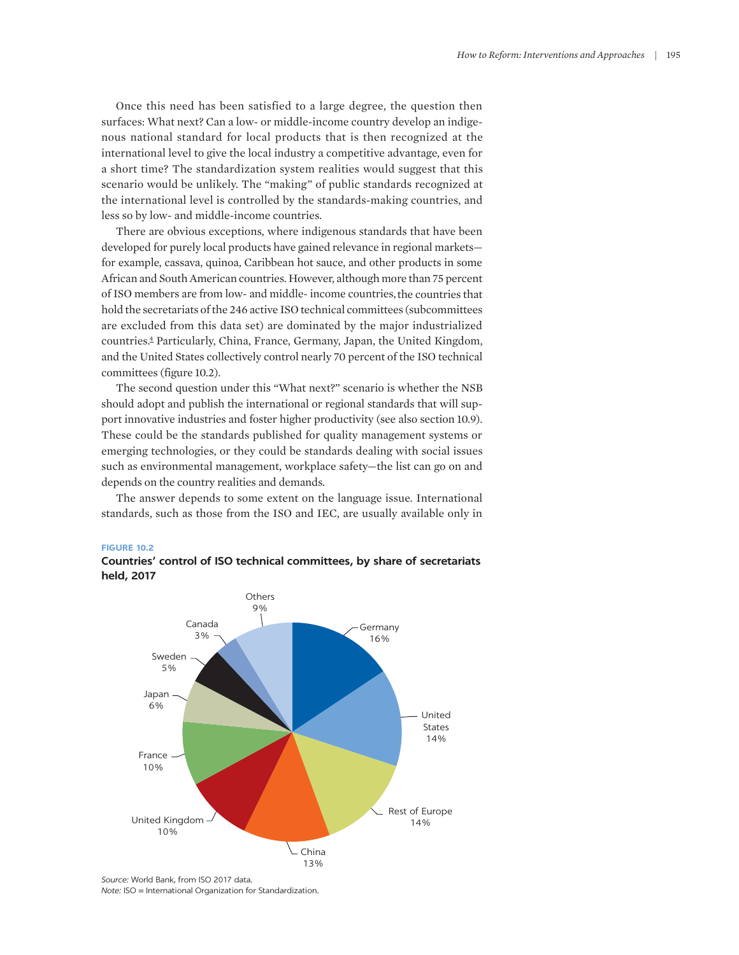Once this need has been satisfied to a large degree, the question then surfaces: What next? Can a low- or middle-income country develop an indigenous national standard for local products that is then recognized at the international level to give the local industry a competitive advantage, even for a short time? The standardization system realities would suggest that this scenario would be unlikely. The "making" of public standards recognized at the international level is controlled by the standards-making countries, and less so by low- and middle-income countries.

There are obvious exceptions, where indigenous standards that have been developed for purely local products have gained relevance in regional markets for example, cassava, quinoa, Caribbean hot sauce, and other products in some African and South American countries. However, although more than 75 percent of ISO members are from low- and middle- income countries,the countries that hold the secretariats of the 246 active ISO technical committees (subcommittees are excluded from this data set) are dominated by the major industrialized countries. 4 Particularly, China, France, Germany, Japan, the United Kingdom, and the United States collectively control nearly 70 percent of the ISO technical committees (figure 10.2).

The second question under this "What next?" scenario is whether the NSB should adopt and publish the international or regional standards that will support innovative industries and foster higher productivity (see also section 10.9). These could be the standards published for quality management systems or emerging technologies, or they could be standards dealing with social issues such as environmental management, workplace safety—the list can go on and depends on the country realities and demands.

The answer depends to some extent on the language issue. International standards, such as those from the ISO and IEC, are usually available only in

#### **FIGURE 10.2**





*Source:* World Bank, from ISO 2017 data. *Note:* ISO = International Organization for Standardization.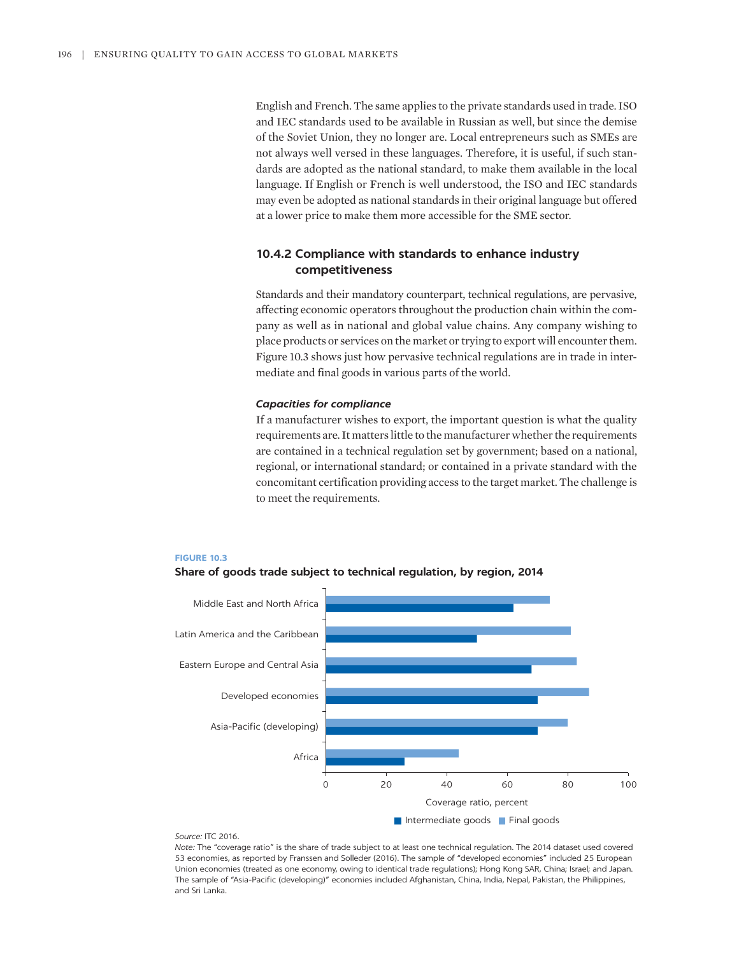English and French. The same applies to the private standards used in trade. ISO and IEC standards used to be available in Russian as well, but since the demise of the Soviet Union, they no longer are. Local entrepreneurs such as SMEs are not always well versed in these languages. Therefore, it is useful, if such standards are adopted as the national standard, to make them available in the local language. If English or French is well understood, the ISO and IEC standards may even be adopted as national standards in their original language but offered at a lower price to make them more accessible for the SME sector.

# **10.4.2 Compliance with standards to enhance industry competitiveness**

Standards and their mandatory counterpart, technical regulations, are pervasive, affecting economic operators throughout the production chain within the company as well as in national and global value chains. Any company wishing to place products or services on the market or trying to export will encounter them. Figure 10.3 shows just how pervasive technical regulations are in trade in intermediate and final goods in various parts of the world.

#### *Capacities for compliance*

If a manufacturer wishes to export, the important question is what the quality requirements are. It matters little to the manufacturer whether the requirements are contained in a technical regulation set by government; based on a national, regional, or international standard; or contained in a private standard with the concomitant certification providing access to the target market. The challenge is to meet the requirements.







#### *Source:* ITC 2016.

*Note:* The "coverage ratio" is the share of trade subject to at least one technical regulation. The 2014 dataset used covered 53 economies, as reported by Franssen and Solleder (2016). The sample of "developed economies" included 25 European Union economies (treated as one economy, owing to identical trade regulations); Hong Kong SAR, China; Israel; and Japan. The sample of "Asia-Pacific (developing)" economies included Afghanistan, China, India, Nepal, Pakistan, the Philippines, and Sri Lanka.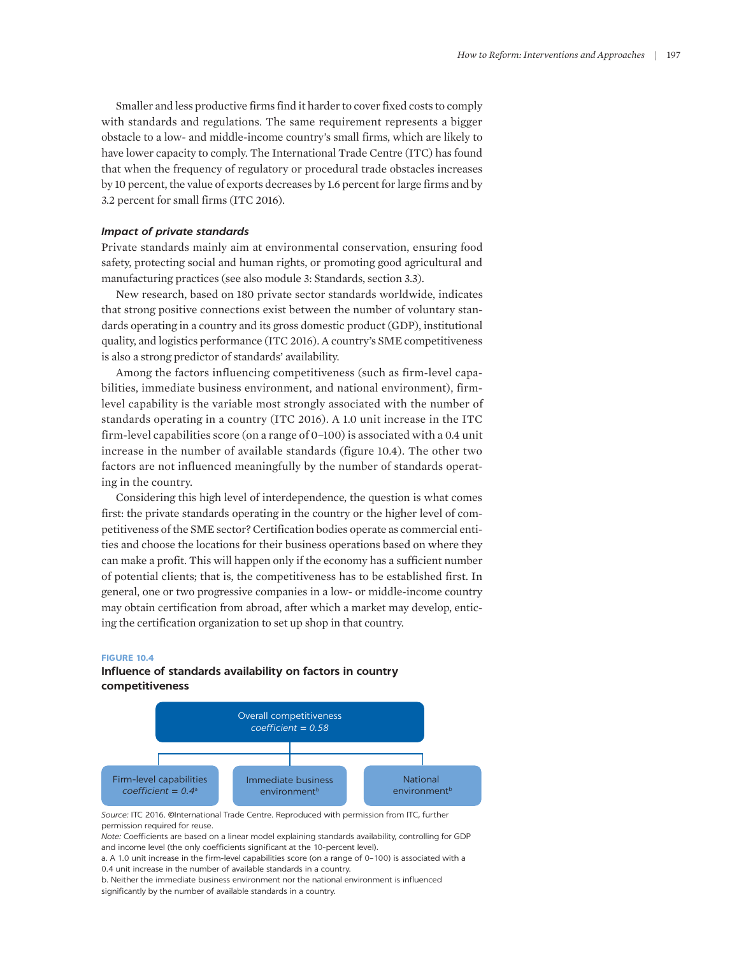Smaller and less productive firms find it harder to cover fixed costs to comply with standards and regulations. The same requirement represents a bigger obstacle to a low- and middle-income country's small firms, which are likely to have lower capacity to comply. The International Trade Centre (ITC) has found that when the frequency of regulatory or procedural trade obstacles increases by 10 percent, the value of exports decreases by 1.6 percent for large firms and by 3.2 percent for small firms (ITC 2016).

## *Impact of private standards*

Private standards mainly aim at environmental conservation, ensuring food safety, protecting social and human rights, or promoting good agricultural and manufacturing practices (see also module 3: Standards, section 3.3).

New research, based on 180 private sector standards worldwide, indicates that strong positive connections exist between the number of voluntary standards operating in a country and its gross domestic product (GDP), institutional quality, and logistics performance (ITC 2016). A country's SME competitiveness is also a strong predictor of standards' availability.

Among the factors influencing competitiveness (such as firm-level capabilities, immediate business environment, and national environment), firmlevel capability is the variable most strongly associated with the number of standards operating in a country (ITC 2016). A 1.0 unit increase in the ITC firm-level capabilities score (on a range of 0–100) is associated with a 0.4 unit increase in the number of available standards (figure 10.4). The other two factors are not influenced meaningfully by the number of standards operating in the country.

Considering this high level of interdependence, the question is what comes first: the private standards operating in the country or the higher level of competitiveness of the SME sector? Certification bodies operate as commercial entities and choose the locations for their business operations based on where they can make a profit. This will happen only if the economy has a sufficient number of potential clients; that is, the competitiveness has to be established first. In general, one or two progressive companies in a low- or middle-income country may obtain certification from abroad, after which a market may develop, enticing the certification organization to set up shop in that country.

#### **FIGURE 10.4**

# **Influence of standards availability on factors in country competitiveness**



*Source:* ITC 2016. ©International Trade Centre. Reproduced with permission from ITC, further permission required for reuse.

*Note:* Coefficients are based on a linear model explaining standards availability, controlling for GDP and income level (the only coefficients significant at the 10-percent level).

a. A 1.0 unit increase in the firm-level capabilities score (on a range of 0–100) is associated with a 0.4 unit increase in the number of available standards in a country.

b. Neither the immediate business environment nor the national environment is influenced significantly by the number of available standards in a country.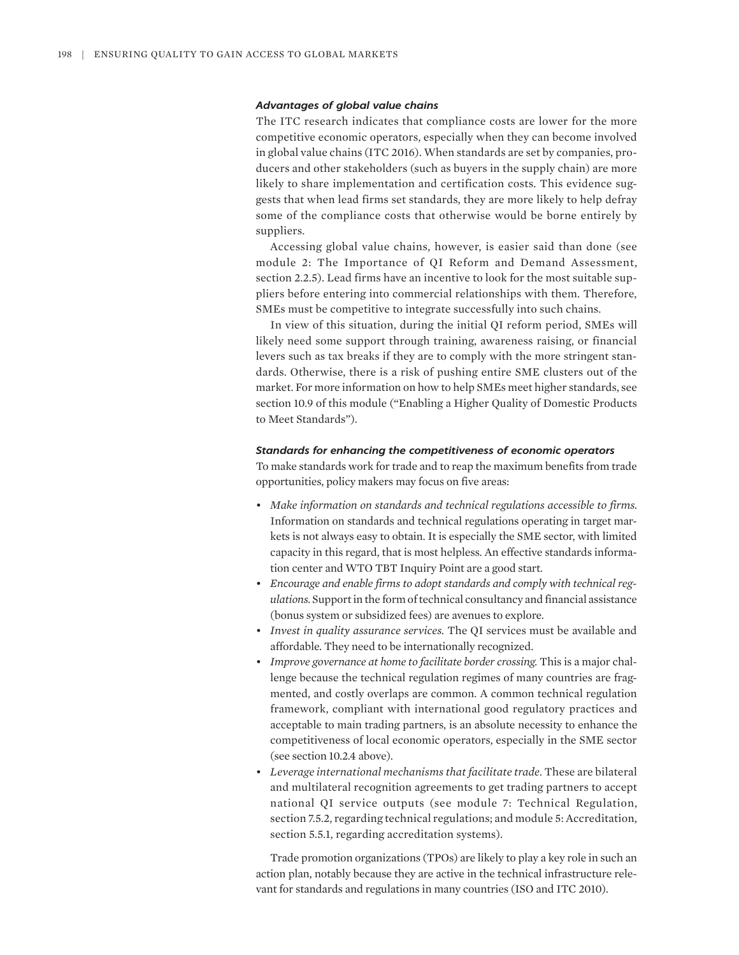#### *Advantages of global value chains*

The ITC research indicates that compliance costs are lower for the more competitive economic operators, especially when they can become involved in global value chains (ITC 2016). When standards are set by companies, producers and other stakeholders (such as buyers in the supply chain) are more likely to share implementation and certification costs. This evidence suggests that when lead firms set standards, they are more likely to help defray some of the compliance costs that otherwise would be borne entirely by suppliers.

Accessing global value chains, however, is easier said than done (see module 2: The Importance of QI Reform and Demand Assessment, section 2.2.5). Lead firms have an incentive to look for the most suitable suppliers before entering into commercial relationships with them. Therefore, SMEs must be competitive to integrate successfully into such chains.

In view of this situation, during the initial QI reform period, SMEs will likely need some support through training, awareness raising, or financial levers such as tax breaks if they are to comply with the more stringent standards. Otherwise, there is a risk of pushing entire SME clusters out of the market. For more information on how to help SMEs meet higher standards, see section 10.9 of this module ("Enabling a Higher Quality of Domestic Products to Meet Standards").

#### *Standards for enhancing the competitiveness of economic operators*

To make standards work for trade and to reap the maximum benefits from trade opportunities, policy makers may focus on five areas:

- *Make information on standards and technical regulations accessible to firms.* Information on standards and technical regulations operating in target markets is not always easy to obtain. It is especially the SME sector, with limited capacity in this regard, that is most helpless. An effective standards information center and WTO TBT Inquiry Point are a good start.
- *Encourage and enable firms to adopt standards and comply with technical regulations.* Support in the form of technical consultancy and financial assistance (bonus system or subsidized fees) are avenues to explore.
- *Invest in quality assurance services.* The QI services must be available and affordable. They need to be internationally recognized.
- *Improve governance at home to facilitate border crossing.* This is a major challenge because the technical regulation regimes of many countries are fragmented, and costly overlaps are common. A common technical regulation framework, compliant with international good regulatory practices and acceptable to main trading partners, is an absolute necessity to enhance the competitiveness of local economic operators, especially in the SME sector (see section 10.2.4 above).
- *Leverage international mechanisms that facilitate trade.* These are bilateral and multilateral recognition agreements to get trading partners to accept national QI service outputs (see module 7: Technical Regulation, section 7.5.2, regarding technical regulations; and module 5: Accreditation, section 5.5.1, regarding accreditation systems).

Trade promotion organizations (TPOs) are likely to play a key role in such an action plan, notably because they are active in the technical infrastructure relevant for standards and regulations in many countries (ISO and ITC 2010).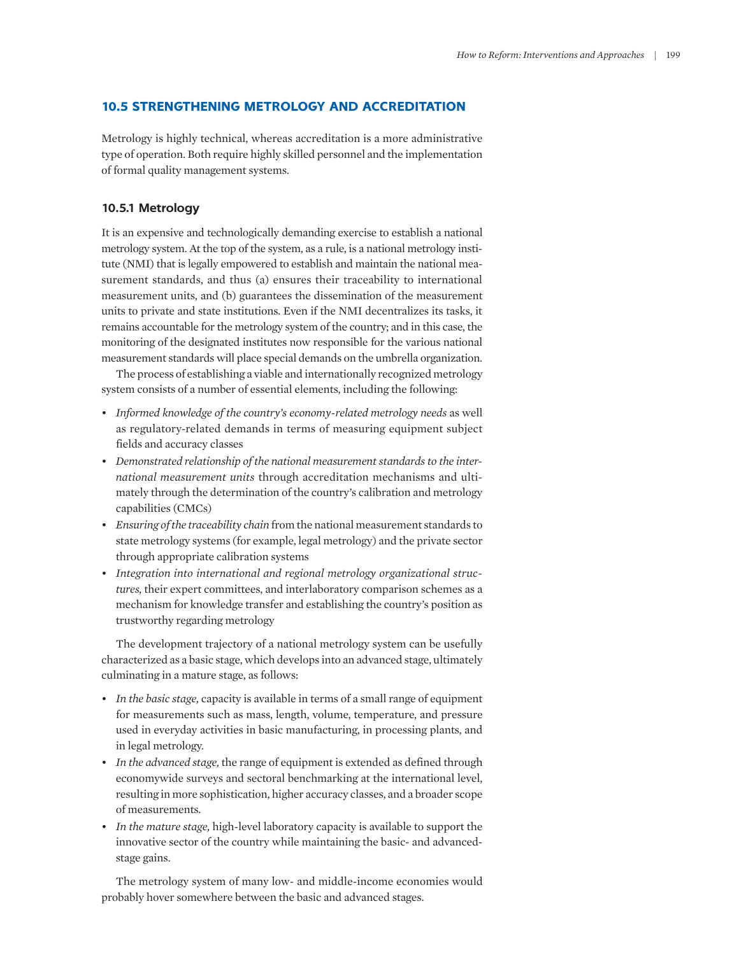# **10.5 STRENGTHENING METROLOGY AND ACCREDITATION**

Metrology is highly technical, whereas accreditation is a more administrative type of operation. Both require highly skilled personnel and the implementation of formal quality management systems.

## **10.5.1 Metrology**

It is an expensive and technologically demanding exercise to establish a national metrology system. At the top of the system, as a rule, is a national metrology institute (NMI) that is legally empowered to establish and maintain the national measurement standards, and thus (a) ensures their traceability to international measurement units, and (b) guarantees the dissemination of the measurement units to private and state institutions. Even if the NMI decentralizes its tasks, it remains accountable for the metrology system of the country; and in this case, the monitoring of the designated institutes now responsible for the various national measurement standards will place special demands on the umbrella organization.

The process of establishing a viable and internationally recognized metrology system consists of a number of essential elements, including the following:

- *Informed knowledge of the country's economy-related metrology needs* as well as regulatory-related demands in terms of measuring equipment subject fields and accuracy classes
- *Demonstrated relationship of the national measurement standards to the international measurement units* through accreditation mechanisms and ultimately through the determination of the country's calibration and metrology capabilities (CMCs)
- *Ensuring of the traceability chain* from the national measurement standards to state metrology systems (for example, legal metrology) and the private sector through appropriate calibration systems
- *Integration into international and regional metrology organizational structures,* their expert committees, and interlaboratory comparison schemes as a mechanism for knowledge transfer and establishing the country's position as trustworthy regarding metrology

The development trajectory of a national metrology system can be usefully characterized as a basic stage, which develops into an advanced stage, ultimately culminating in a mature stage, as follows:

- *In the basic stage,* capacity is available in terms of a small range of equipment for measurements such as mass, length, volume, temperature, and pressure used in everyday activities in basic manufacturing, in processing plants, and in legal metrology.
- *In the advanced stage,* the range of equipment is extended as defined through economywide surveys and sectoral benchmarking at the international level, resulting in more sophistication, higher accuracy classes, and a broader scope of measurements.
- *In the mature stage,* high-level laboratory capacity is available to support the innovative sector of the country while maintaining the basic- and advancedstage gains.

The metrology system of many low- and middle-income economies would probably hover somewhere between the basic and advanced stages.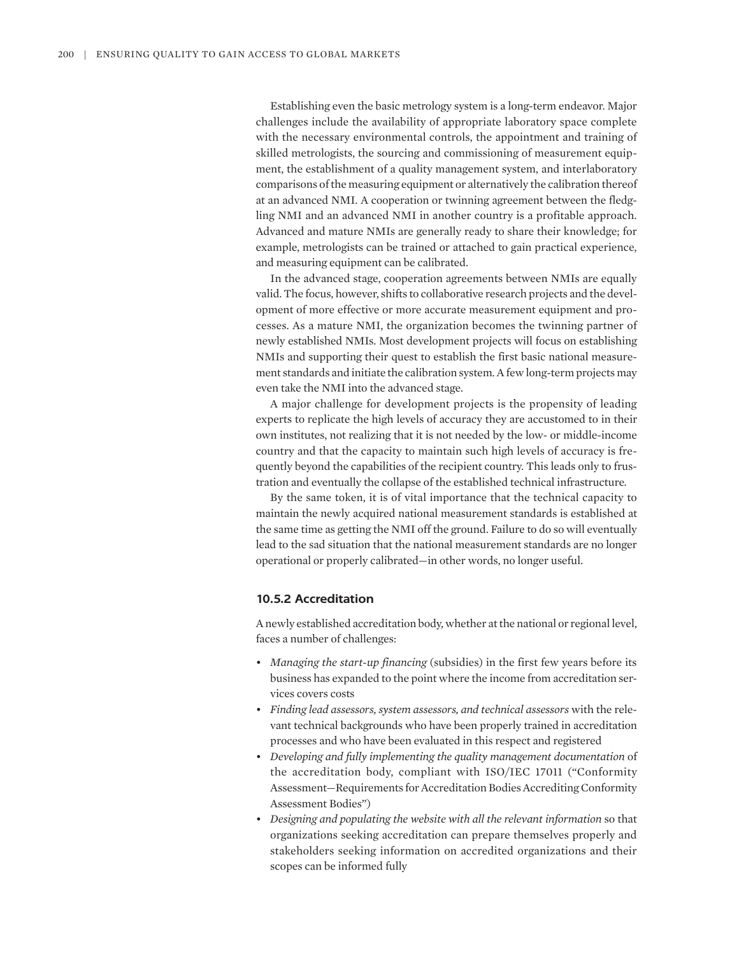Establishing even the basic metrology system is a long-term endeavor. Major challenges include the availability of appropriate laboratory space complete with the necessary environmental controls, the appointment and training of skilled metrologists, the sourcing and commissioning of measurement equipment, the establishment of a quality management system, and interlaboratory comparisons of the measuring equipment or alternatively the calibration thereof at an advanced NMI. A cooperation or twinning agreement between the fledgling NMI and an advanced NMI in another country is a profitable approach. Advanced and mature NMIs are generally ready to share their knowledge; for example, metrologists can be trained or attached to gain practical experience, and measuring equipment can be calibrated.

In the advanced stage, cooperation agreements between NMIs are equally valid. The focus, however, shifts to collaborative research projects and the development of more effective or more accurate measurement equipment and processes. As a mature NMI, the organization becomes the twinning partner of newly established NMIs. Most development projects will focus on establishing NMIs and supporting their quest to establish the first basic national measurement standards and initiate the calibration system. A few long-term projects may even take the NMI into the advanced stage.

A major challenge for development projects is the propensity of leading experts to replicate the high levels of accuracy they are accustomed to in their own institutes, not realizing that it is not needed by the low- or middle-income country and that the capacity to maintain such high levels of accuracy is frequently beyond the capabilities of the recipient country. This leads only to frustration and eventually the collapse of the established technical infrastructure.

By the same token, it is of vital importance that the technical capacity to maintain the newly acquired national measurement standards is established at the same time as getting the NMI off the ground. Failure to do so will eventually lead to the sad situation that the national measurement standards are no longer operational or properly calibrated—in other words, no longer useful.

# **10.5.2 Accreditation**

A newly established accreditation body, whether at the national or regional level, faces a number of challenges:

- *Managing the start-up financing* (subsidies) in the first few years before its business has expanded to the point where the income from accreditation services covers costs
- *Finding lead assessors, system assessors, and technical assessors* with the relevant technical backgrounds who have been properly trained in accreditation processes and who have been evaluated in this respect and registered
- *Developing and fully implementing the quality management documentation* of the accreditation body, compliant with ISO/IEC 17011 ("Conformity Assessment—Requirements for Accreditation Bodies Accrediting Conformity Assessment Bodies")
- *Designing and populating the website with all the relevant information* so that organizations seeking accreditation can prepare themselves properly and stakeholders seeking information on accredited organizations and their scopes can be informed fully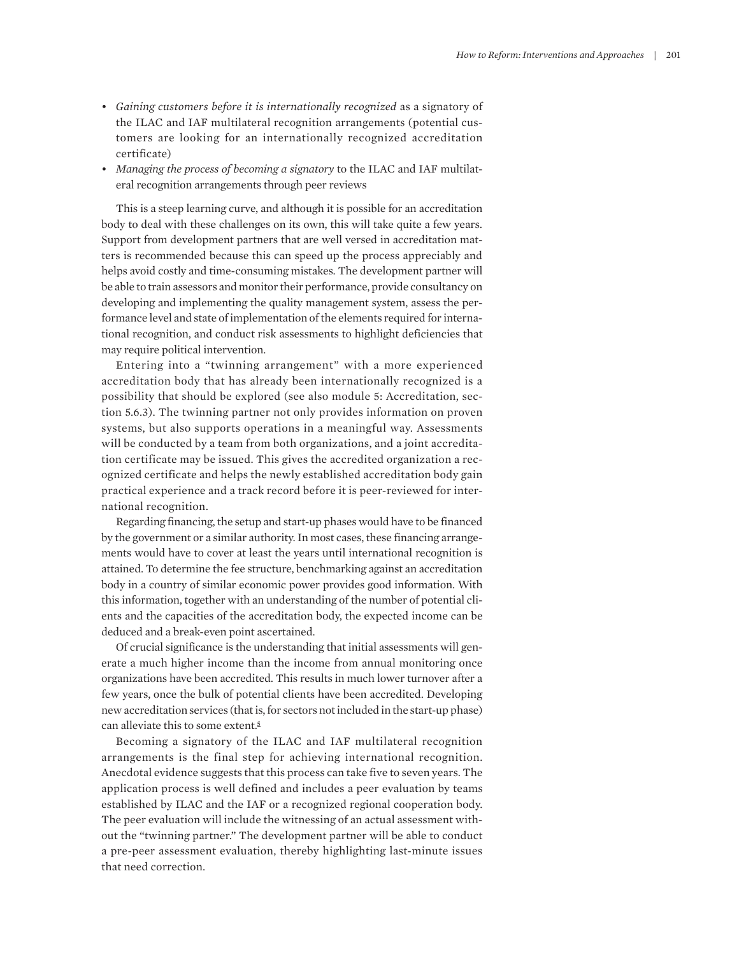- *Gaining customers before it is internationally recognized* as a signatory of the ILAC and IAF multilateral recognition arrangements (potential customers are looking for an internationally recognized accreditation certificate)
- *Managing the process of becoming a signatory* to the ILAC and IAF multilateral recognition arrangements through peer reviews

This is a steep learning curve, and although it is possible for an accreditation body to deal with these challenges on its own, this will take quite a few years. Support from development partners that are well versed in accreditation matters is recommended because this can speed up the process appreciably and helps avoid costly and time-consuming mistakes. The development partner will be able to train assessors and monitor their performance, provide consultancy on developing and implementing the quality management system, assess the performance level and state of implementation of the elements required for international recognition, and conduct risk assessments to highlight deficiencies that may require political intervention.

Entering into a "twinning arrangement" with a more experienced accreditation body that has already been internationally recognized is a possibility that should be explored (see also module 5: Accreditation, section 5.6.3). The twinning partner not only provides information on proven systems, but also supports operations in a meaningful way. Assessments will be conducted by a team from both organizations, and a joint accreditation certificate may be issued. This gives the accredited organization a recognized certificate and helps the newly established accreditation body gain practical experience and a track record before it is peer-reviewed for international recognition.

Regarding financing, the setup and start-up phases would have to be financed by the government or a similar authority. In most cases, these financing arrangements would have to cover at least the years until international recognition is attained. To determine the fee structure, benchmarking against an accreditation body in a country of similar economic power provides good information. With this information, together with an understanding of the number of potential clients and the capacities of the accreditation body, the expected income can be deduced and a break-even point ascertained.

Of crucial significance is the understanding that initial assessments will generate a much higher income than the income from annual monitoring once organizations have been accredited. This results in much lower turnover after a few years, once the bulk of potential clients have been accredited. Developing new accreditation services (that is, for sectors not included in the start-up phase) can alleviate this to some extent.<sup>5</sup>

Becoming a signatory of the ILAC and IAF multilateral recognition arrangements is the final step for achieving international recognition. Anecdotal evidence suggests that this process can take five to seven years. The application process is well defined and includes a peer evaluation by teams established by ILAC and the IAF or a recognized regional cooperation body. The peer evaluation will include the witnessing of an actual assessment without the "twinning partner." The development partner will be able to conduct a pre-peer assessment evaluation, thereby highlighting last-minute issues that need correction.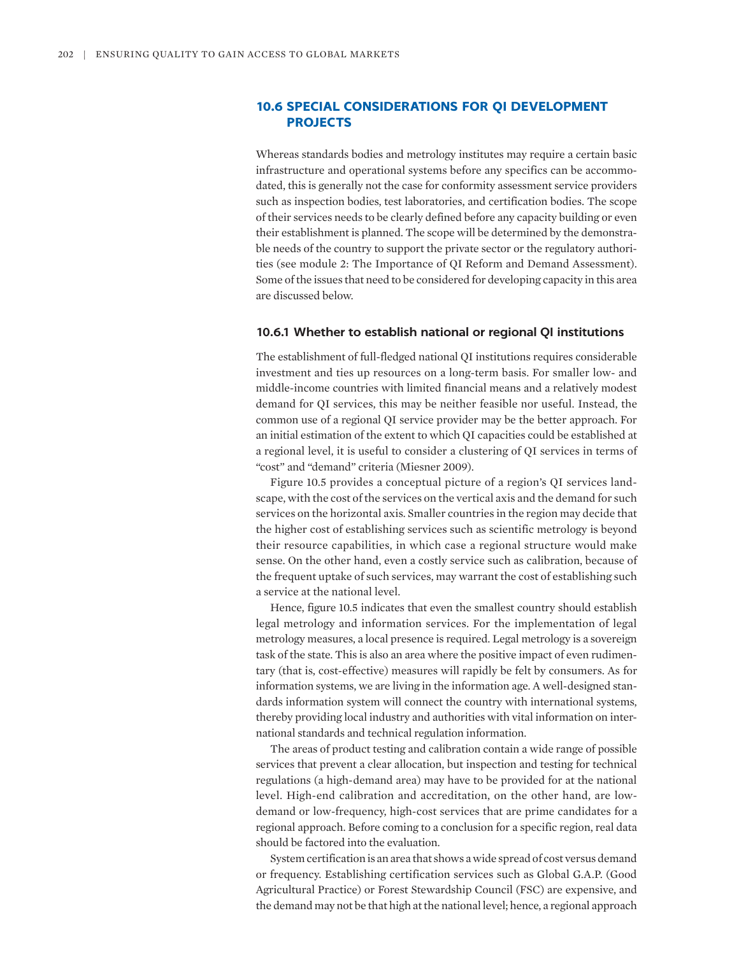# **10.6 SPECIAL CONSIDERATIONS FOR QI DEVELOPMENT PROJECTS**

Whereas standards bodies and metrology institutes may require a certain basic infrastructure and operational systems before any specifics can be accommodated, this is generally not the case for conformity assessment service providers such as inspection bodies, test laboratories, and certification bodies. The scope of their services needs to be clearly defined before any capacity building or even their establishment is planned. The scope will be determined by the demonstrable needs of the country to support the private sector or the regulatory authorities (see module 2: The Importance of QI Reform and Demand Assessment). Some of the issues that need to be considered for developing capacity in this area are discussed below.

#### **10.6.1 Whether to establish national or regional QI institutions**

The establishment of full-fledged national QI institutions requires considerable investment and ties up resources on a long-term basis. For smaller low- and middle-income countries with limited financial means and a relatively modest demand for QI services, this may be neither feasible nor useful. Instead, the common use of a regional QI service provider may be the better approach. For an initial estimation of the extent to which QI capacities could be established at a regional level, it is useful to consider a clustering of QI services in terms of "cost" and "demand" criteria (Miesner 2009).

Figure 10.5 provides a conceptual picture of a region's QI services landscape, with the cost of the services on the vertical axis and the demand for such services on the horizontal axis. Smaller countries in the region may decide that the higher cost of establishing services such as scientific metrology is beyond their resource capabilities, in which case a regional structure would make sense. On the other hand, even a costly service such as calibration, because of the frequent uptake of such services, may warrant the cost of establishing such a service at the national level.

Hence, figure 10.5 indicates that even the smallest country should establish legal metrology and information services. For the implementation of legal metrology measures, a local presence is required. Legal metrology is a sovereign task of the state. This is also an area where the positive impact of even rudimentary (that is, cost-effective) measures will rapidly be felt by consumers. As for information systems, we are living in the information age. A well-designed standards information system will connect the country with international systems, thereby providing local industry and authorities with vital information on international standards and technical regulation information.

The areas of product testing and calibration contain a wide range of possible services that prevent a clear allocation, but inspection and testing for technical regulations (a high-demand area) may have to be provided for at the national level. High-end calibration and accreditation, on the other hand, are lowdemand or low-frequency, high-cost services that are prime candidates for a regional approach. Before coming to a conclusion for a specific region, real data should be factored into the evaluation.

System certification is an area that shows a wide spread of cost versus demand or frequency. Establishing certification services such as Global G.A.P. (Good Agricultural Practice) or Forest Stewardship Council (FSC) are expensive, and the demand may not be that high at the national level; hence, a regional approach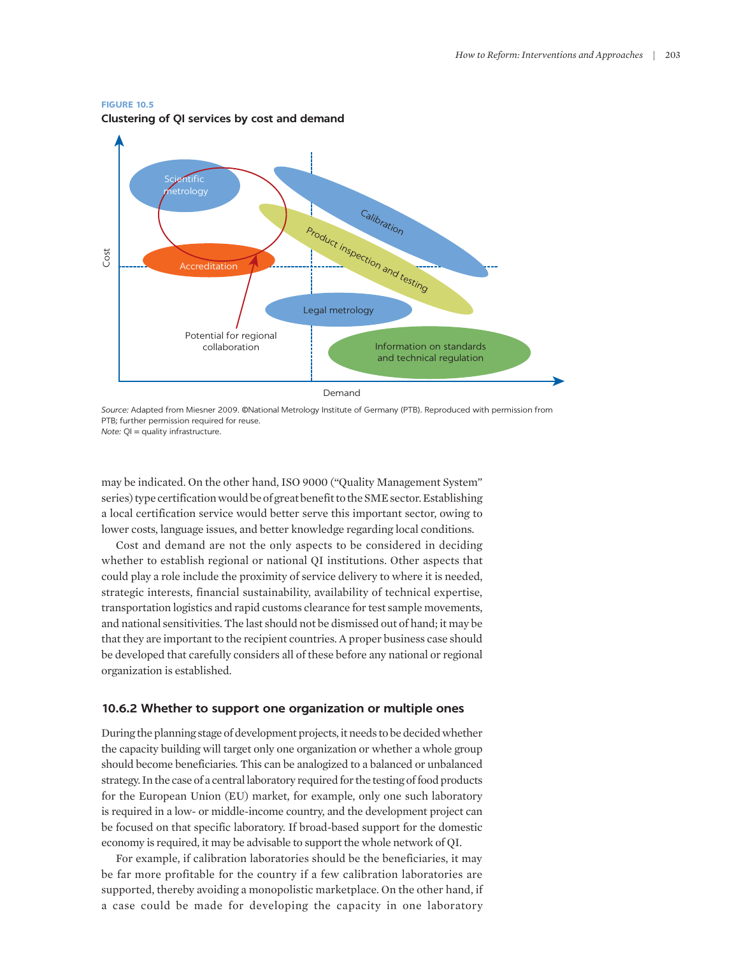#### **FIGURE 10.5**

**Clustering of QI services by cost and demand**



*Source:* Adapted from Miesner 2009. ©National Metrology Institute of Germany (PTB). Reproduced with permission from PTB; further permission required for reuse. *Note:* QI = quality infrastructure.

may be indicated. On the other hand, ISO 9000 ("Quality Management System" series) type certification would be of great benefit to the SME sector. Establishing a local certification service would better serve this important sector, owing to lower costs, language issues, and better knowledge regarding local conditions.

Cost and demand are not the only aspects to be considered in deciding whether to establish regional or national QI institutions. Other aspects that could play a role include the proximity of service delivery to where it is needed, strategic interests, financial sustainability, availability of technical expertise, transportation logistics and rapid customs clearance for test sample movements, and national sensitivities. The last should not be dismissed out of hand; it may be that they are important to the recipient countries. A proper business case should be developed that carefully considers all of these before any national or regional organization is established.

#### **10.6.2 Whether to support one organization or multiple ones**

During the planning stage of development projects, it needs to be decided whether the capacity building will target only one organization or whether a whole group should become beneficiaries. This can be analogized to a balanced or unbalanced strategy. In the case of a central laboratory required for the testing of food products for the European Union (EU) market, for example, only one such laboratory is required in a low- or middle-income country, and the development project can be focused on that specific laboratory. If broad-based support for the domestic economy is required, it may be advisable to support the whole network of QI.

For example, if calibration laboratories should be the beneficiaries, it may be far more profitable for the country if a few calibration laboratories are supported, thereby avoiding a monopolistic marketplace. On the other hand, if a case could be made for developing the capacity in one laboratory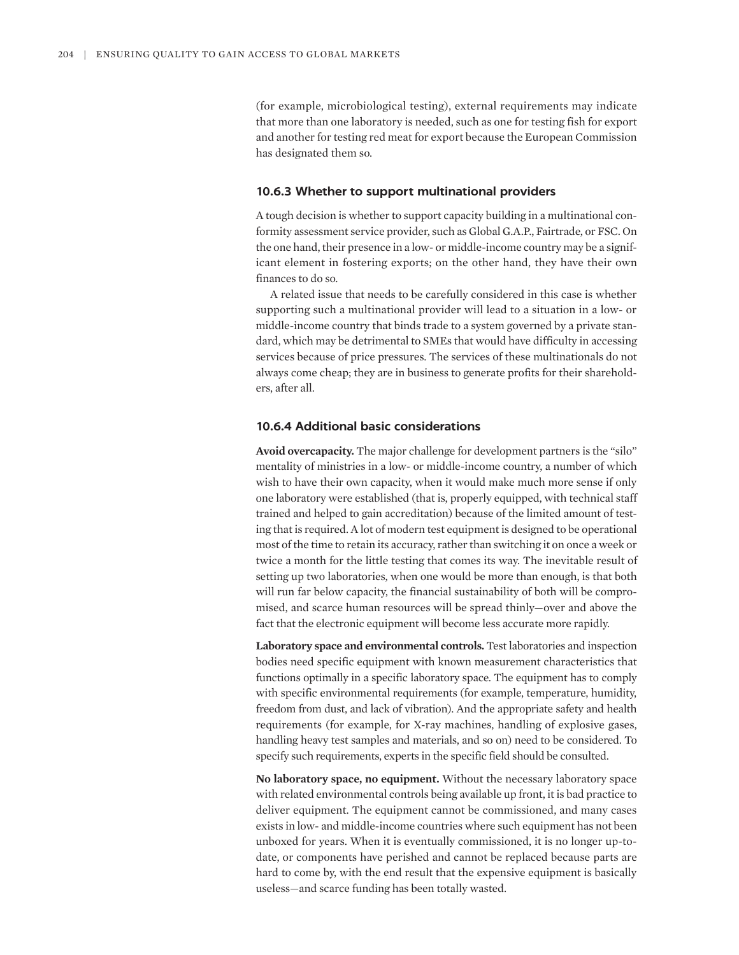(for example, microbiological testing), external requirements may indicate that more than one laboratory is needed, such as one for testing fish for export and another for testing red meat for export because the European Commission has designated them so.

#### **10.6.3 Whether to support multinational providers**

A tough decision is whether to support capacity building in a multinational conformity assessment service provider, such as Global G.A.P., Fairtrade, or FSC. On the one hand, their presence in a low- or middle-income country may be a significant element in fostering exports; on the other hand, they have their own finances to do so.

A related issue that needs to be carefully considered in this case is whether supporting such a multinational provider will lead to a situation in a low- or middle-income country that binds trade to a system governed by a private standard, which may be detrimental to SMEs that would have difficulty in accessing services because of price pressures. The services of these multinationals do not always come cheap; they are in business to generate profits for their shareholders, after all.

# **10.6.4 Additional basic considerations**

**Avoid overcapacity.** The major challenge for development partners is the "silo" mentality of ministries in a low- or middle-income country, a number of which wish to have their own capacity, when it would make much more sense if only one laboratory were established (that is, properly equipped, with technical staff trained and helped to gain accreditation) because of the limited amount of testing that is required. A lot of modern test equipment is designed to be operational most of the time to retain its accuracy, rather than switching it on once a week or twice a month for the little testing that comes its way. The inevitable result of setting up two laboratories, when one would be more than enough, is that both will run far below capacity, the financial sustainability of both will be compromised, and scarce human resources will be spread thinly—over and above the fact that the electronic equipment will become less accurate more rapidly.

**Laboratory space and environmental controls.** Test laboratories and inspection bodies need specific equipment with known measurement characteristics that functions optimally in a specific laboratory space. The equipment has to comply with specific environmental requirements (for example, temperature, humidity, freedom from dust, and lack of vibration). And the appropriate safety and health requirements (for example, for X-ray machines, handling of explosive gases, handling heavy test samples and materials, and so on) need to be considered. To specify such requirements, experts in the specific field should be consulted.

**No laboratory space, no equipment.** Without the necessary laboratory space with related environmental controls being available up front, it is bad practice to deliver equipment. The equipment cannot be commissioned, and many cases exists in low- and middle-income countries where such equipment has not been unboxed for years. When it is eventually commissioned, it is no longer up-todate, or components have perished and cannot be replaced because parts are hard to come by, with the end result that the expensive equipment is basically useless—and scarce funding has been totally wasted.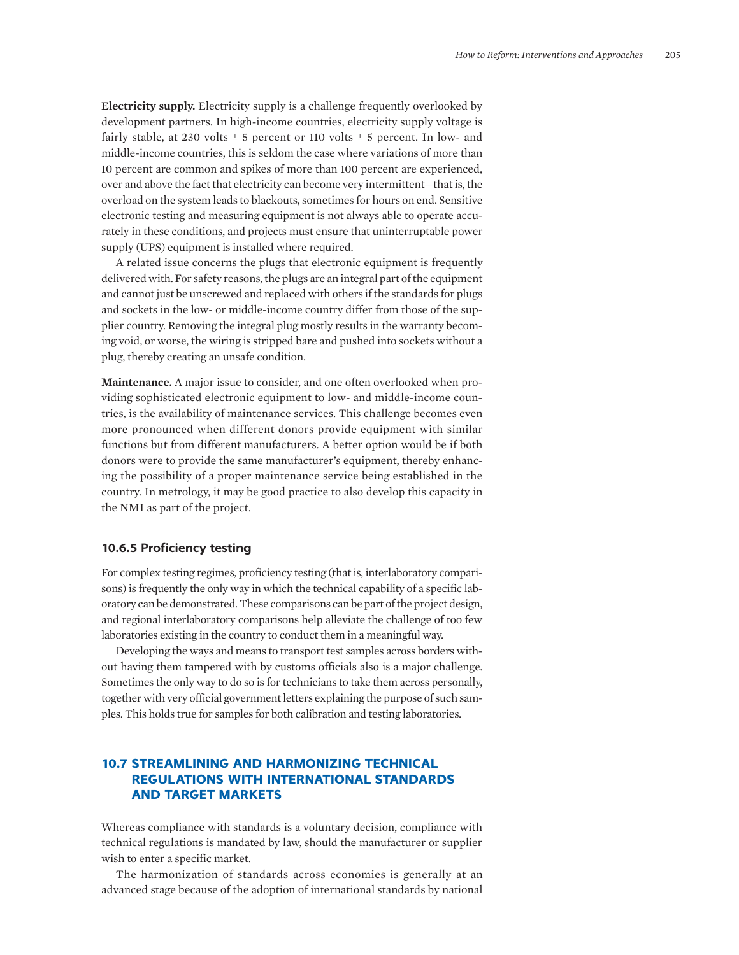**Electricity supply.** Electricity supply is a challenge frequently overlooked by development partners. In high-income countries, electricity supply voltage is fairly stable, at 230 volts  $\pm$  5 percent or 110 volts  $\pm$  5 percent. In low- and middle-income countries, this is seldom the case where variations of more than 10 percent are common and spikes of more than 100 percent are experienced, over and above the fact that electricity can become very intermittent—that is, the overload on the system leads to blackouts, sometimes for hours on end. Sensitive electronic testing and measuring equipment is not always able to operate accurately in these conditions, and projects must ensure that uninterruptable power supply (UPS) equipment is installed where required.

A related issue concerns the plugs that electronic equipment is frequently delivered with. For safety reasons, the plugs are an integral part of the equipment and cannot just be unscrewed and replaced with others if the standards for plugs and sockets in the low- or middle-income country differ from those of the supplier country. Removing the integral plug mostly results in the warranty becoming void, or worse, the wiring is stripped bare and pushed into sockets without a plug, thereby creating an unsafe condition.

**Maintenance.** A major issue to consider, and one often overlooked when providing sophisticated electronic equipment to low- and middle-income countries, is the availability of maintenance services. This challenge becomes even more pronounced when different donors provide equipment with similar functions but from different manufacturers. A better option would be if both donors were to provide the same manufacturer's equipment, thereby enhancing the possibility of a proper maintenance service being established in the country. In metrology, it may be good practice to also develop this capacity in the NMI as part of the project.

## **10.6.5 Proficiency testing**

For complex testing regimes, proficiency testing (that is, interlaboratory comparisons) is frequently the only way in which the technical capability of a specific laboratory can be demonstrated. These comparisons can be part of the project design, and regional interlaboratory comparisons help alleviate the challenge of too few laboratories existing in the country to conduct them in a meaningful way.

Developing the ways and means to transport test samples across borders without having them tampered with by customs officials also is a major challenge. Sometimes the only way to do so is for technicians to take them across personally, together with very official government letters explaining the purpose of such samples. This holds true for samples for both calibration and testing laboratories.

# **10.7 STREAMLINING AND HARMONIZING TECHNICAL REGULATIONS WITH INTERNATIONAL STANDARDS AND TARGET MARKETS**

Whereas compliance with standards is a voluntary decision, compliance with technical regulations is mandated by law, should the manufacturer or supplier wish to enter a specific market.

The harmonization of standards across economies is generally at an advanced stage because of the adoption of international standards by national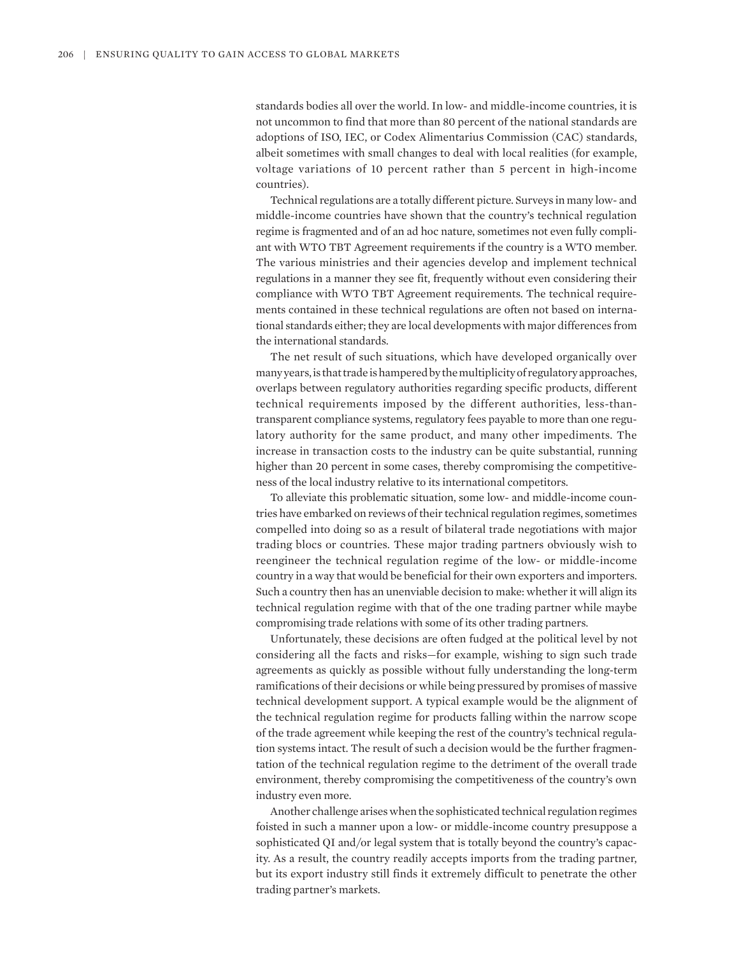standards bodies all over the world. In low- and middle-income countries, it is not uncommon to find that more than 80 percent of the national standards are adoptions of ISO, IEC, or Codex Alimentarius Commission (CAC) standards, albeit sometimes with small changes to deal with local realities (for example, voltage variations of 10 percent rather than 5 percent in high-income countries).

Technical regulations are a totally different picture. Surveys in many low- and middle-income countries have shown that the country's technical regulation regime is fragmented and of an ad hoc nature, sometimes not even fully compliant with WTO TBT Agreement requirements if the country is a WTO member. The various ministries and their agencies develop and implement technical regulations in a manner they see fit, frequently without even considering their compliance with WTO TBT Agreement requirements. The technical requirements contained in these technical regulations are often not based on international standards either; they are local developments with major differences from the international standards.

The net result of such situations, which have developed organically over many years, is that trade is hampered by the multiplicity of regulatory approaches, overlaps between regulatory authorities regarding specific products, different technical requirements imposed by the different authorities, less-thantransparent compliance systems, regulatory fees payable to more than one regulatory authority for the same product, and many other impediments. The increase in transaction costs to the industry can be quite substantial, running higher than 20 percent in some cases, thereby compromising the competitiveness of the local industry relative to its international competitors.

To alleviate this problematic situation, some low- and middle-income countries have embarked on reviews of their technical regulation regimes, sometimes compelled into doing so as a result of bilateral trade negotiations with major trading blocs or countries. These major trading partners obviously wish to reengineer the technical regulation regime of the low- or middle-income country in a way that would be beneficial for their own exporters and importers. Such a country then has an unenviable decision to make: whether it will align its technical regulation regime with that of the one trading partner while maybe compromising trade relations with some of its other trading partners.

Unfortunately, these decisions are often fudged at the political level by not considering all the facts and risks—for example, wishing to sign such trade agreements as quickly as possible without fully understanding the long-term ramifications of their decisions or while being pressured by promises of massive technical development support. A typical example would be the alignment of the technical regulation regime for products falling within the narrow scope of the trade agreement while keeping the rest of the country's technical regulation systems intact. The result of such a decision would be the further fragmentation of the technical regulation regime to the detriment of the overall trade environment, thereby compromising the competitiveness of the country's own industry even more.

Another challenge arises when the sophisticated technical regulation regimes foisted in such a manner upon a low- or middle-income country presuppose a sophisticated QI and/or legal system that is totally beyond the country's capacity. As a result, the country readily accepts imports from the trading partner, but its export industry still finds it extremely difficult to penetrate the other trading partner's markets.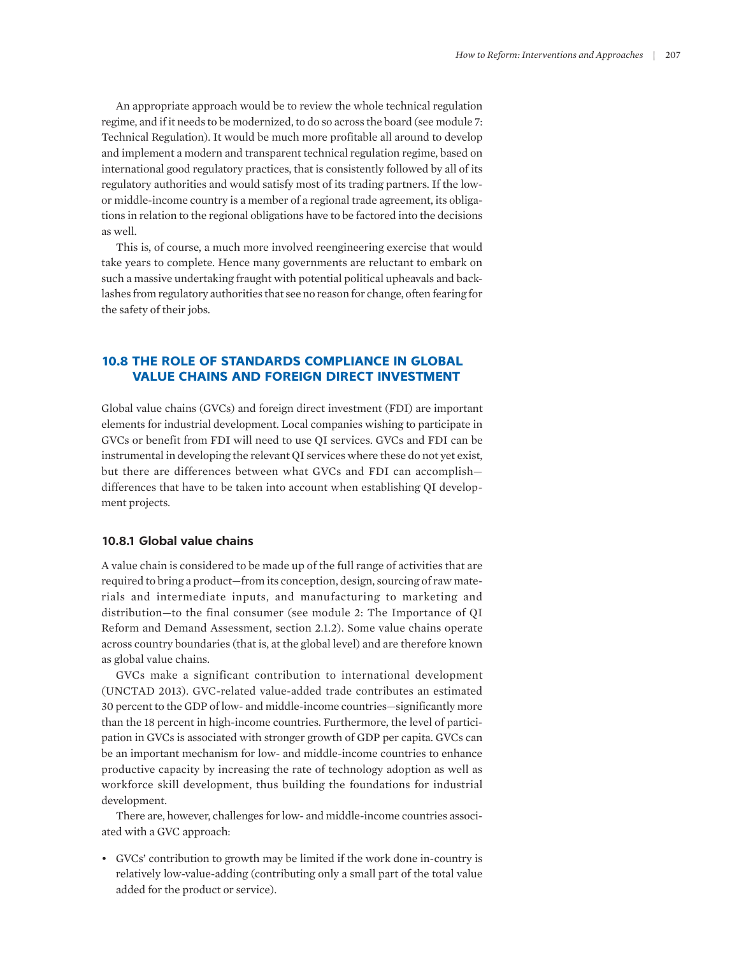An appropriate approach would be to review the whole technical regulation regime, and if it needs to be modernized, to do so across the board (see module 7: Technical Regulation). It would be much more profitable all around to develop and implement a modern and transparent technical regulation regime, based on international good regulatory practices, that is consistently followed by all of its regulatory authorities and would satisfy most of its trading partners. If the lowor middle-income country is a member of a regional trade agreement, its obligations in relation to the regional obligations have to be factored into the decisions as well.

This is, of course, a much more involved reengineering exercise that would take years to complete. Hence many governments are reluctant to embark on such a massive undertaking fraught with potential political upheavals and backlashes from regulatory authorities that see no reason for change, often fearing for the safety of their jobs.

# **10.8 THE ROLE OF STANDARDS COMPLIANCE IN GLOBAL VALUE CHAINS AND FOREIGN DIRECT INVESTMENT**

Global value chains (GVCs) and foreign direct investment (FDI) are important elements for industrial development. Local companies wishing to participate in GVCs or benefit from FDI will need to use QI services. GVCs and FDI can be instrumental in developing the relevant QI services where these do not yet exist, but there are differences between what GVCs and FDI can accomplish differences that have to be taken into account when establishing QI development projects.

#### **10.8.1 Global value chains**

A value chain is considered to be made up of the full range of activities that are required to bring a product—from its conception, design, sourcing of raw materials and intermediate inputs, and manufacturing to marketing and distribution—to the final consumer (see module 2: The Importance of QI Reform and Demand Assessment, section 2.1.2). Some value chains operate across country boundaries (that is, at the global level) and are therefore known as global value chains.

GVCs make a significant contribution to international development (UNCTAD 2013). GVC-related value-added trade contributes an estimated 30 percent to the GDP of low- and middle-income countries—significantly more than the 18 percent in high-income countries. Furthermore, the level of participation in GVCs is associated with stronger growth of GDP per capita. GVCs can be an important mechanism for low- and middle-income countries to enhance productive capacity by increasing the rate of technology adoption as well as workforce skill development, thus building the foundations for industrial development.

There are, however, challenges for low- and middle-income countries associated with a GVC approach:

• GVCs' contribution to growth may be limited if the work done in-country is relatively low-value-adding (contributing only a small part of the total value added for the product or service).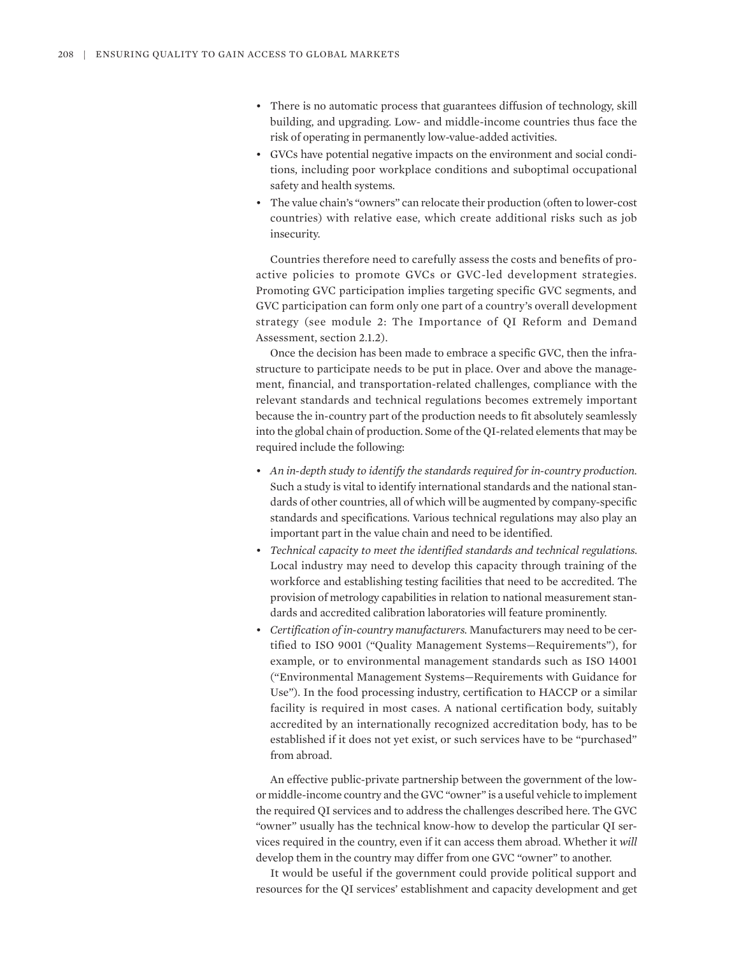- There is no automatic process that guarantees diffusion of technology, skill building, and upgrading. Low- and middle-income countries thus face the risk of operating in permanently low-value-added activities.
- GVCs have potential negative impacts on the environment and social conditions, including poor workplace conditions and suboptimal occupational safety and health systems.
- The value chain's "owners" can relocate their production (often to lower-cost countries) with relative ease, which create additional risks such as job insecurity.

Countries therefore need to carefully assess the costs and benefits of proactive policies to promote GVCs or GVC-led development strategies. Promoting GVC participation implies targeting specific GVC segments, and GVC participation can form only one part of a country's overall development strategy (see module 2: The Importance of QI Reform and Demand Assessment, section 2.1.2).

Once the decision has been made to embrace a specific GVC, then the infrastructure to participate needs to be put in place. Over and above the management, financial, and transportation-related challenges, compliance with the relevant standards and technical regulations becomes extremely important because the in-country part of the production needs to fit absolutely seamlessly into the global chain of production. Some of the QI-related elements that may be required include the following:

- *An in-depth study to identify the standards required for in-country production.* Such a study is vital to identify international standards and the national standards of other countries, all of which will be augmented by company-specific standards and specifications. Various technical regulations may also play an important part in the value chain and need to be identified.
- *Technical capacity to meet the identified standards and technical regulations.* Local industry may need to develop this capacity through training of the workforce and establishing testing facilities that need to be accredited. The provision of metrology capabilities in relation to national measurement standards and accredited calibration laboratories will feature prominently.
- *Certification of in-country manufacturers.* Manufacturers may need to be certified to ISO 9001 ("Quality Management Systems—Requirements"), for example, or to environmental management standards such as ISO 14001 ("Environmental Management Systems—Requirements with Guidance for Use"). In the food processing industry, certification to HACCP or a similar facility is required in most cases. A national certification body, suitably accredited by an internationally recognized accreditation body, has to be established if it does not yet exist, or such services have to be "purchased" from abroad.

An effective public-private partnership between the government of the lowor middle-income country and the GVC "owner" is a useful vehicle to implement the required QI services and to address the challenges described here. The GVC "owner" usually has the technical know-how to develop the particular QI services required in the country, even if it can access them abroad. Whether it *will* develop them in the country may differ from one GVC "owner" to another.

It would be useful if the government could provide political support and resources for the QI services' establishment and capacity development and get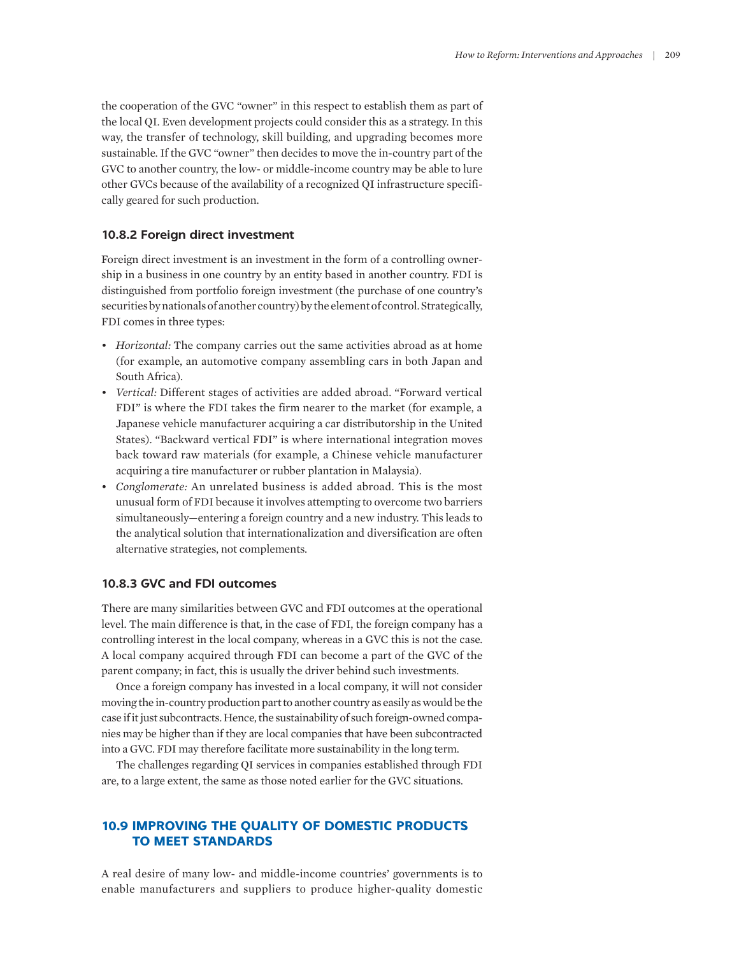the cooperation of the GVC "owner" in this respect to establish them as part of the local QI. Even development projects could consider this as a strategy. In this way, the transfer of technology, skill building, and upgrading becomes more sustainable. If the GVC "owner" then decides to move the in-country part of the GVC to another country, the low- or middle-income country may be able to lure other GVCs because of the availability of a recognized QI infrastructure specifically geared for such production.

#### **10.8.2 Foreign direct investment**

Foreign direct investment is an investment in the form of a controlling ownership in a business in one country by an entity based in another country. FDI is distinguished from portfolio foreign investment (the purchase of one country's securities by nationals of another country) by the element of control. Strategically, FDI comes in three types:

- *Horizontal:* The company carries out the same activities abroad as at home (for example, an automotive company assembling cars in both Japan and South Africa).
- *Vertical:* Different stages of activities are added abroad. "Forward vertical FDI" is where the FDI takes the firm nearer to the market (for example, a Japanese vehicle manufacturer acquiring a car distributorship in the United States). "Backward vertical FDI" is where international integration moves back toward raw materials (for example, a Chinese vehicle manufacturer acquiring a tire manufacturer or rubber plantation in Malaysia).
- *Conglomerate:* An unrelated business is added abroad. This is the most unusual form of FDI because it involves attempting to overcome two barriers simultaneously—entering a foreign country and a new industry. This leads to the analytical solution that internationalization and diversification are often alternative strategies, not complements.

# **10.8.3 GVC and FDI outcomes**

There are many similarities between GVC and FDI outcomes at the operational level. The main difference is that, in the case of FDI, the foreign company has a controlling interest in the local company, whereas in a GVC this is not the case. A local company acquired through FDI can become a part of the GVC of the parent company; in fact, this is usually the driver behind such investments.

Once a foreign company has invested in a local company, it will not consider moving the in-country production part to another country as easily as would be the case if it just subcontracts. Hence, the sustainability of such foreign-owned companies may be higher than if they are local companies that have been subcontracted into a GVC. FDI may therefore facilitate more sustainability in the long term.

The challenges regarding QI services in companies established through FDI are, to a large extent, the same as those noted earlier for the GVC situations.

# **10.9 IMPROVING THE QUALITY OF DOMESTIC PRODUCTS TO MEET STANDARDS**

A real desire of many low- and middle-income countries' governments is to enable manufacturers and suppliers to produce higher-quality domestic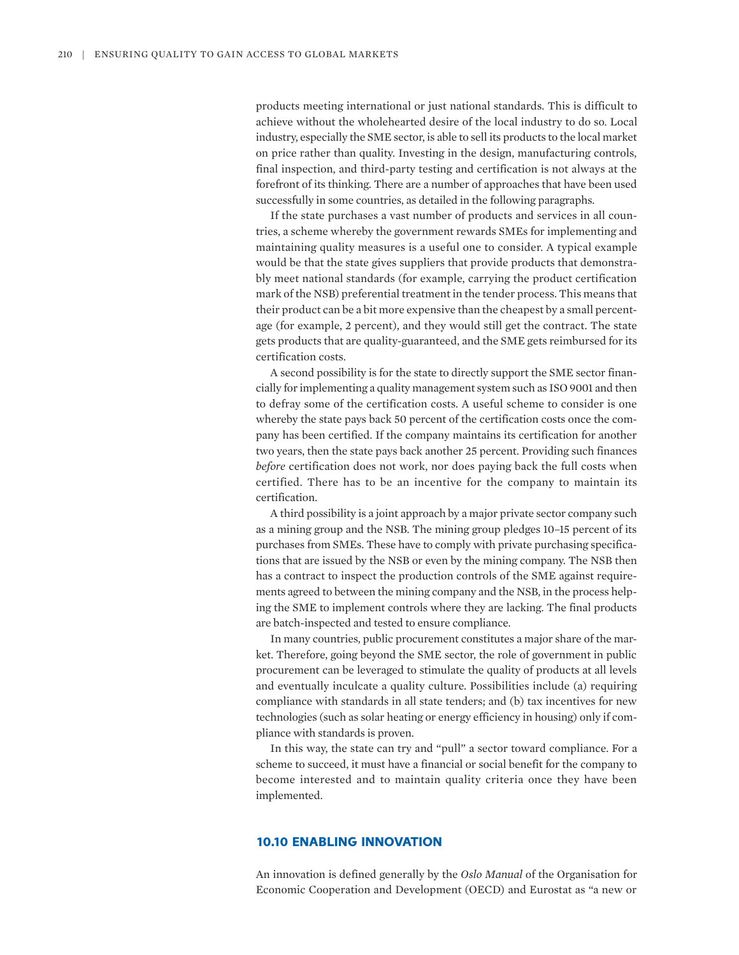products meeting international or just national standards. This is difficult to achieve without the wholehearted desire of the local industry to do so. Local industry, especially the SME sector, is able to sell its products to the local market on price rather than quality. Investing in the design, manufacturing controls, final inspection, and third-party testing and certification is not always at the forefront of its thinking. There are a number of approaches that have been used successfully in some countries, as detailed in the following paragraphs.

If the state purchases a vast number of products and services in all countries, a scheme whereby the government rewards SMEs for implementing and maintaining quality measures is a useful one to consider. A typical example would be that the state gives suppliers that provide products that demonstrably meet national standards (for example, carrying the product certification mark of the NSB) preferential treatment in the tender process. This means that their product can be a bit more expensive than the cheapest by a small percentage (for example, 2 percent), and they would still get the contract. The state gets products that are quality-guaranteed, and the SME gets reimbursed for its certification costs.

A second possibility is for the state to directly support the SME sector financially for implementing a quality management system such as ISO 9001 and then to defray some of the certification costs. A useful scheme to consider is one whereby the state pays back 50 percent of the certification costs once the company has been certified. If the company maintains its certification for another two years, then the state pays back another 25 percent. Providing such finances *before* certification does not work, nor does paying back the full costs when certified. There has to be an incentive for the company to maintain its certification.

A third possibility is a joint approach by a major private sector company such as a mining group and the NSB. The mining group pledges 10–15 percent of its purchases from SMEs. These have to comply with private purchasing specifications that are issued by the NSB or even by the mining company. The NSB then has a contract to inspect the production controls of the SME against requirements agreed to between the mining company and the NSB, in the process helping the SME to implement controls where they are lacking. The final products are batch-inspected and tested to ensure compliance.

In many countries, public procurement constitutes a major share of the market. Therefore, going beyond the SME sector, the role of government in public procurement can be leveraged to stimulate the quality of products at all levels and eventually inculcate a quality culture. Possibilities include (a) requiring compliance with standards in all state tenders; and (b) tax incentives for new technologies (such as solar heating or energy efficiency in housing) only if compliance with standards is proven.

In this way, the state can try and "pull" a sector toward compliance. For a scheme to succeed, it must have a financial or social benefit for the company to become interested and to maintain quality criteria once they have been implemented.

# **10.10 ENABLING INNOVATION**

An innovation is defined generally by the *Oslo Manual* of the Organisation for Economic Cooperation and Development (OECD) and Eurostat as "a new or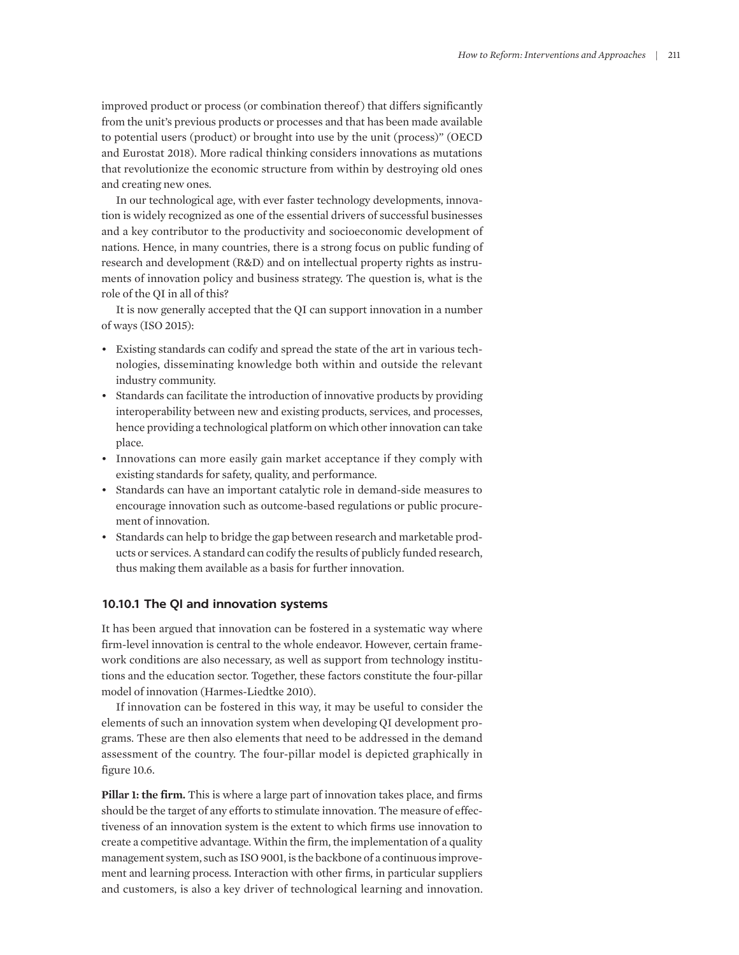improved product or process (or combination thereof) that differs significantly from the unit's previous products or processes and that has been made available to potential users (product) or brought into use by the unit (process)" (OECD and Eurostat 2018). More radical thinking considers innovations as mutations that revolutionize the economic structure from within by destroying old ones and creating new ones.

In our technological age, with ever faster technology developments, innovation is widely recognized as one of the essential drivers of successful businesses and a key contributor to the productivity and socioeconomic development of nations. Hence, in many countries, there is a strong focus on public funding of research and development (R&D) and on intellectual property rights as instruments of innovation policy and business strategy. The question is, what is the role of the QI in all of this?

It is now generally accepted that the QI can support innovation in a number of ways (ISO 2015):

- Existing standards can codify and spread the state of the art in various technologies, disseminating knowledge both within and outside the relevant industry community.
- Standards can facilitate the introduction of innovative products by providing interoperability between new and existing products, services, and processes, hence providing a technological platform on which other innovation can take place.
- Innovations can more easily gain market acceptance if they comply with existing standards for safety, quality, and performance.
- Standards can have an important catalytic role in demand-side measures to encourage innovation such as outcome-based regulations or public procurement of innovation.
- Standards can help to bridge the gap between research and marketable products or services. A standard can codify the results of publicly funded research, thus making them available as a basis for further innovation.

### **10.10.1 The QI and innovation systems**

It has been argued that innovation can be fostered in a systematic way where firm-level innovation is central to the whole endeavor. However, certain framework conditions are also necessary, as well as support from technology institutions and the education sector. Together, these factors constitute the four-pillar model of innovation (Harmes-Liedtke 2010).

If innovation can be fostered in this way, it may be useful to consider the elements of such an innovation system when developing QI development programs. These are then also elements that need to be addressed in the demand assessment of the country. The four-pillar model is depicted graphically in figure 10.6.

**Pillar 1: the firm.** This is where a large part of innovation takes place, and firms should be the target of any efforts to stimulate innovation. The measure of effectiveness of an innovation system is the extent to which firms use innovation to create a competitive advantage. Within the firm, the implementation of a quality management system, such as ISO 9001, is the backbone of a continuous improvement and learning process. Interaction with other firms, in particular suppliers and customers, is also a key driver of technological learning and innovation.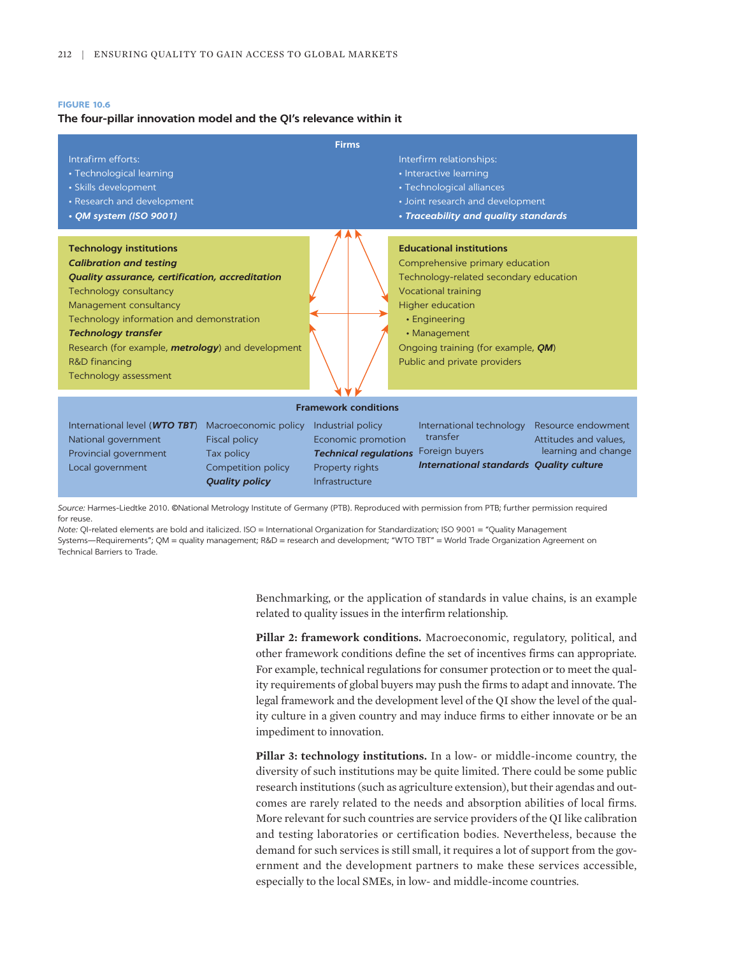#### **FIGURE 10.6**

#### **The four-pillar innovation model and the QI's relevance within it**

| <b>Firms</b>                                                                                                                                                                                                                                                                                                                                                    |                                                                                                                                                                                                                                                                                                |  |  |
|-----------------------------------------------------------------------------------------------------------------------------------------------------------------------------------------------------------------------------------------------------------------------------------------------------------------------------------------------------------------|------------------------------------------------------------------------------------------------------------------------------------------------------------------------------------------------------------------------------------------------------------------------------------------------|--|--|
| Intrafirm efforts:<br>• Technological learning<br>• Skills development<br>• Research and development<br>• QM system (ISO 9001)                                                                                                                                                                                                                                  | Interfirm relationships:<br>• Interactive learning<br>• Technological alliances<br>• Joint research and development<br>• Traceability and quality standards                                                                                                                                    |  |  |
| <b>Technology institutions</b><br><b>Calibration and testing</b><br><b>Quality assurance, certification, accreditation</b><br>Technology consultancy<br>Management consultancy<br>Technology information and demonstration<br><b>Technology transfer</b><br>Research (for example, <b>metrology</b> ) and development<br>R&D financing<br>Technology assessment | <b>Educational institutions</b><br>Comprehensive primary education<br>Technology-related secondary education<br><b>Vocational training</b><br><b>Higher education</b><br>• Engineering<br>• Management<br>Ongoing training (for example, <i>QM</i> )<br>Public and private providers           |  |  |
| <b>Framework conditions</b>                                                                                                                                                                                                                                                                                                                                     |                                                                                                                                                                                                                                                                                                |  |  |
| International level (WTO TBT)<br>Macroeconomic policy<br><b>Fiscal policy</b><br>National government<br>Provincial government<br>Tax policy<br>Local government<br>Competition policy<br><b>Quality policy</b>                                                                                                                                                  | Industrial policy<br>Resource endowment<br>International technology<br>transfer<br>Economic promotion<br>Attitudes and values.<br>learning and change<br>Foreign buyers<br><b>Technical regulations</b><br><b>International standards Quality culture</b><br>Property rights<br>Infrastructure |  |  |

*Source:* Harmes-Liedtke 2010. ©National Metrology Institute of Germany (PTB). Reproduced with permission from PTB; further permission required for reuse.

*Note:* QI-related elements are bold and italicized. ISO = International Organization for Standardization; ISO 9001 = "Quality Management Systems—Requirements"; QM = quality management; R&D = research and development; "WTO TBT" = World Trade Organization Agreement on Technical Barriers to Trade.

> Benchmarking, or the application of standards in value chains, is an example related to quality issues in the interfirm relationship.

> **Pillar 2: framework conditions.** Macroeconomic, regulatory, political, and other framework conditions define the set of incentives firms can appropriate. For example, technical regulations for consumer protection or to meet the quality requirements of global buyers may push the firms to adapt and innovate. The legal framework and the development level of the QI show the level of the quality culture in a given country and may induce firms to either innovate or be an impediment to innovation.

> **Pillar 3: technology institutions.** In a low- or middle-income country, the diversity of such institutions may be quite limited. There could be some public research institutions (such as agriculture extension), but their agendas and outcomes are rarely related to the needs and absorption abilities of local firms. More relevant for such countries are service providers of the QI like calibration and testing laboratories or certification bodies. Nevertheless, because the demand for such services is still small, it requires a lot of support from the government and the development partners to make these services accessible, especially to the local SMEs, in low- and middle-income countries.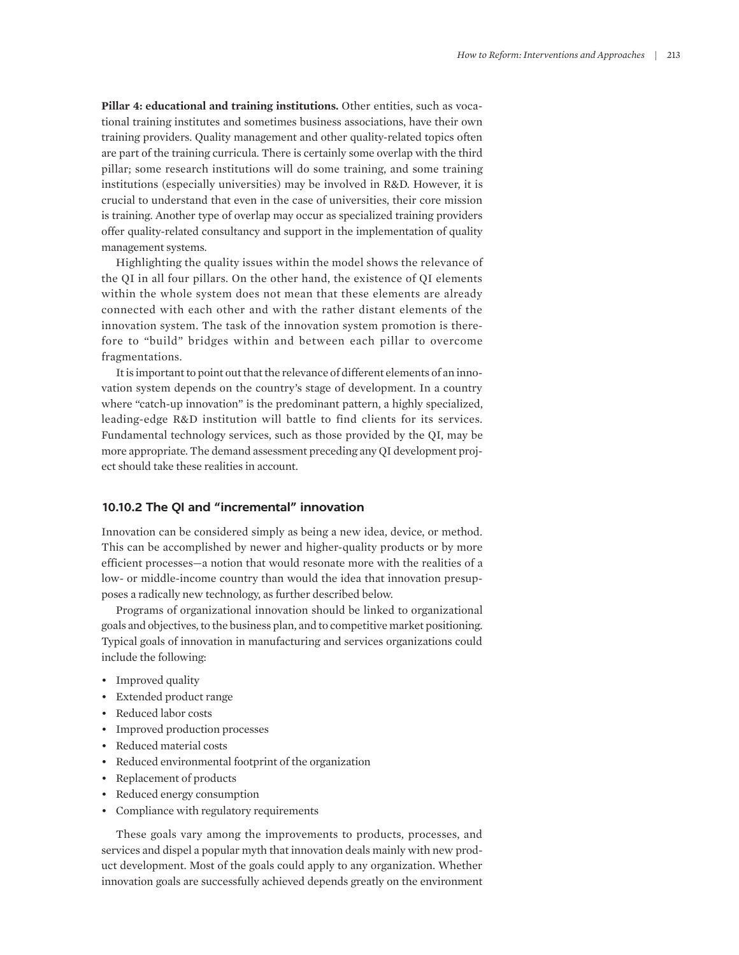**Pillar 4: educational and training institutions.** Other entities, such as vocational training institutes and sometimes business associations, have their own training providers. Quality management and other quality-related topics often are part of the training curricula. There is certainly some overlap with the third pillar; some research institutions will do some training, and some training institutions (especially universities) may be involved in R&D. However, it is crucial to understand that even in the case of universities, their core mission is training. Another type of overlap may occur as specialized training providers offer quality-related consultancy and support in the implementation of quality management systems.

Highlighting the quality issues within the model shows the relevance of the QI in all four pillars. On the other hand, the existence of QI elements within the whole system does not mean that these elements are already connected with each other and with the rather distant elements of the innovation system. The task of the innovation system promotion is therefore to "build" bridges within and between each pillar to overcome fragmentations.

It is important to point out that the relevance of different elements of an innovation system depends on the country's stage of development. In a country where "catch-up innovation" is the predominant pattern, a highly specialized, leading-edge R&D institution will battle to find clients for its services. Fundamental technology services, such as those provided by the QI, may be more appropriate. The demand assessment preceding any QI development project should take these realities in account.

# **10.10.2 The QI and "incremental" innovation**

Innovation can be considered simply as being a new idea, device, or method. This can be accomplished by newer and higher-quality products or by more efficient processes—a notion that would resonate more with the realities of a low- or middle-income country than would the idea that innovation presupposes a radically new technology, as further described below.

Programs of organizational innovation should be linked to organizational goals and objectives, to the business plan, and to competitive market positioning. Typical goals of innovation in manufacturing and services organizations could include the following:

- Improved quality
- Extended product range
- Reduced labor costs
- Improved production processes
- Reduced material costs
- Reduced environmental footprint of the organization
- Replacement of products
- Reduced energy consumption
- Compliance with regulatory requirements

These goals vary among the improvements to products, processes, and services and dispel a popular myth that innovation deals mainly with new product development. Most of the goals could apply to any organization. Whether innovation goals are successfully achieved depends greatly on the environment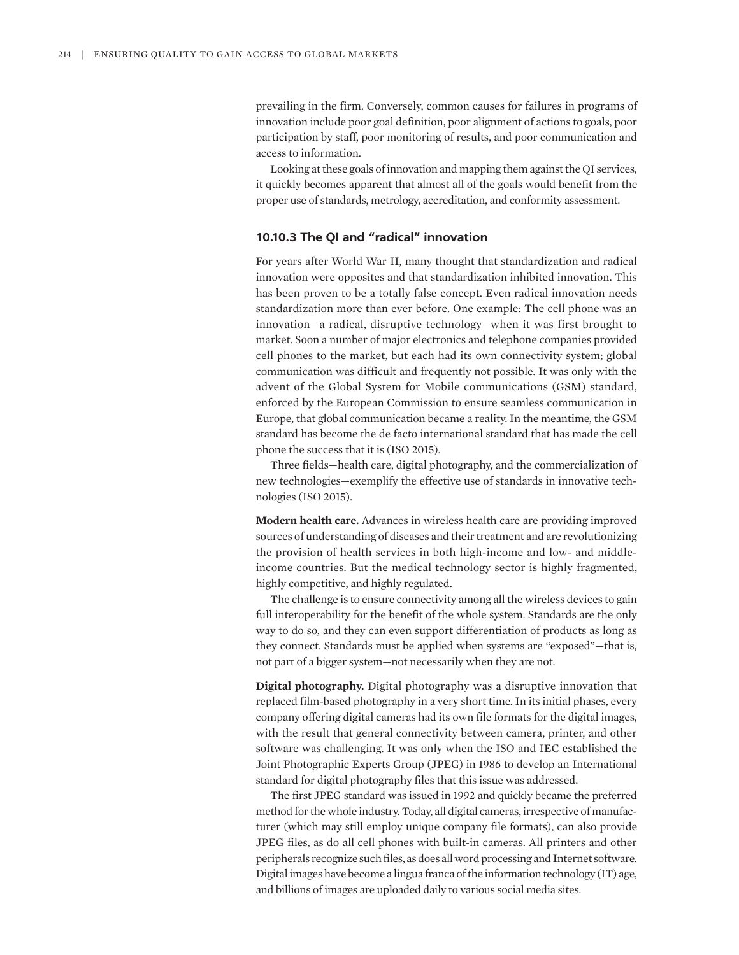prevailing in the firm. Conversely, common causes for failures in programs of innovation include poor goal definition, poor alignment of actions to goals, poor participation by staff, poor monitoring of results, and poor communication and access to information.

Looking at these goals of innovation and mapping them against the QI services, it quickly becomes apparent that almost all of the goals would benefit from the proper use of standards, metrology, accreditation, and conformity assessment.

# **10.10.3 The QI and "radical" innovation**

For years after World War II, many thought that standardization and radical innovation were opposites and that standardization inhibited innovation. This has been proven to be a totally false concept. Even radical innovation needs standardization more than ever before. One example: The cell phone was an innovation—a radical, disruptive technology—when it was first brought to market. Soon a number of major electronics and telephone companies provided cell phones to the market, but each had its own connectivity system; global communication was difficult and frequently not possible. It was only with the advent of the Global System for Mobile communications (GSM) standard, enforced by the European Commission to ensure seamless communication in Europe, that global communication became a reality. In the meantime, the GSM standard has become the de facto international standard that has made the cell phone the success that it is (ISO 2015).

Three fields—health care, digital photography, and the commercialization of new technologies—exemplify the effective use of standards in innovative technologies (ISO 2015).

**Modern health care.** Advances in wireless health care are providing improved sources of understanding of diseases and their treatment and are revolutionizing the provision of health services in both high-income and low- and middleincome countries. But the medical technology sector is highly fragmented, highly competitive, and highly regulated.

The challenge is to ensure connectivity among all the wireless devices to gain full interoperability for the benefit of the whole system. Standards are the only way to do so, and they can even support differentiation of products as long as they connect. Standards must be applied when systems are "exposed"—that is, not part of a bigger system—not necessarily when they are not.

**Digital photography.** Digital photography was a disruptive innovation that replaced film-based photography in a very short time. In its initial phases, every company offering digital cameras had its own file formats for the digital images, with the result that general connectivity between camera, printer, and other software was challenging. It was only when the ISO and IEC established the Joint Photographic Experts Group (JPEG) in 1986 to develop an International standard for digital photography files that this issue was addressed.

The first JPEG standard was issued in 1992 and quickly became the preferred method for the whole industry. Today, all digital cameras, irrespective of manufacturer (which may still employ unique company file formats), can also provide JPEG files, as do all cell phones with built-in cameras. All printers and other peripherals recognize such files, as does all word processing and Internet software. Digital images have become a lingua franca of the information technology (IT) age, and billions of images are uploaded daily to various social media sites.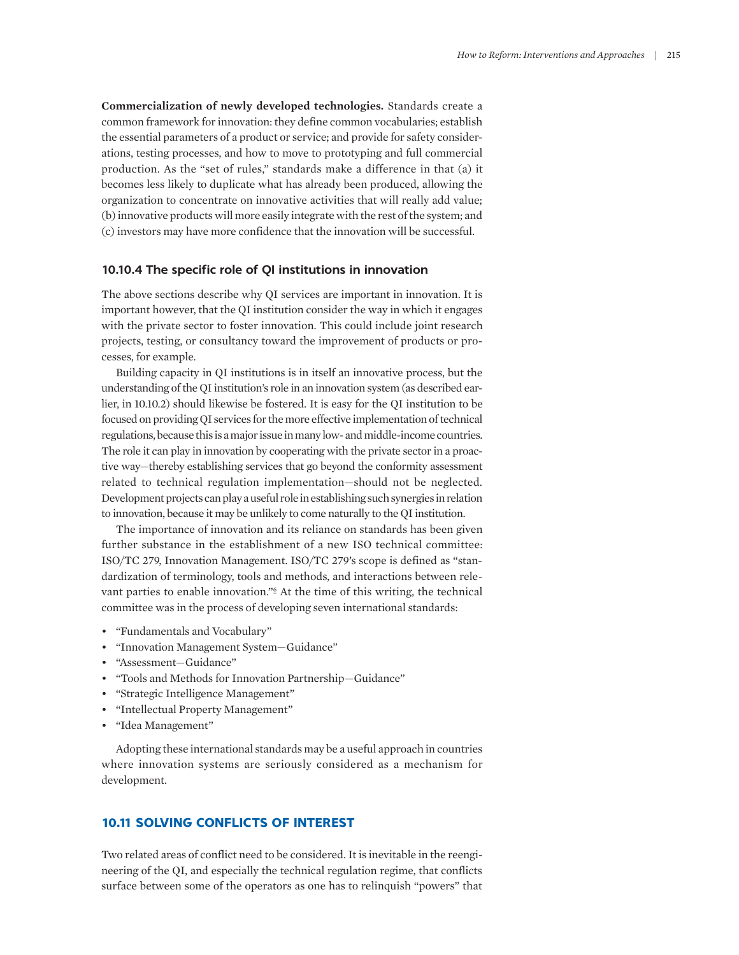**Commercialization of newly developed technologies.** Standards create a common framework for innovation: they define common vocabularies; establish the essential parameters of a product or service; and provide for safety considerations, testing processes, and how to move to prototyping and full commercial production. As the "set of rules," standards make a difference in that (a) it becomes less likely to duplicate what has already been produced, allowing the organization to concentrate on innovative activities that will really add value; (b) innovative products will more easily integrate with the rest of the system; and (c) investors may have more confidence that the innovation will be successful.

#### **10.10.4 The specific role of QI institutions in innovation**

The above sections describe why QI services are important in innovation. It is important however, that the QI institution consider the way in which it engages with the private sector to foster innovation. This could include joint research projects, testing, or consultancy toward the improvement of products or processes, for example.

Building capacity in QI institutions is in itself an innovative process, but the understanding of the QI institution's role in an innovation system (as described earlier, in 10.10.2) should likewise be fostered. It is easy for the QI institution to be focused on providing QI services for the more effective implementation of technical regulations, because this is a major issue in many low- and middle-income countries. The role it can play in innovation by cooperating with the private sector in a proactive way—thereby establishing services that go beyond the conformity assessment related to technical regulation implementation—should not be neglected. Development projects can play a useful role in establishing such synergies in relation to innovation, because it may be unlikely to come naturally to the QI institution.

The importance of innovation and its reliance on standards has been given further substance in the establishment of a new ISO technical committee: ISO/TC 279, Innovation Management. ISO/TC 279's scope is defined as "standardization of terminology, tools and methods, and interactions between relevant parties to enable innovation."<sup>6</sup> At the time of this writing, the technical committee was in the process of developing seven international standards:

- "Fundamentals and Vocabulary"
- "Innovation Management System—Guidance"
- "Assessment—Guidance"
- "Tools and Methods for Innovation Partnership—Guidance"
- "Strategic Intelligence Management"
- "Intellectual Property Management"
- "Idea Management"

Adopting these international standards may be a useful approach in countries where innovation systems are seriously considered as a mechanism for development.

# **10.11 SOLVING CONFLICTS OF INTEREST**

Two related areas of conflict need to be considered. It is inevitable in the reengineering of the QI, and especially the technical regulation regime, that conflicts surface between some of the operators as one has to relinquish "powers" that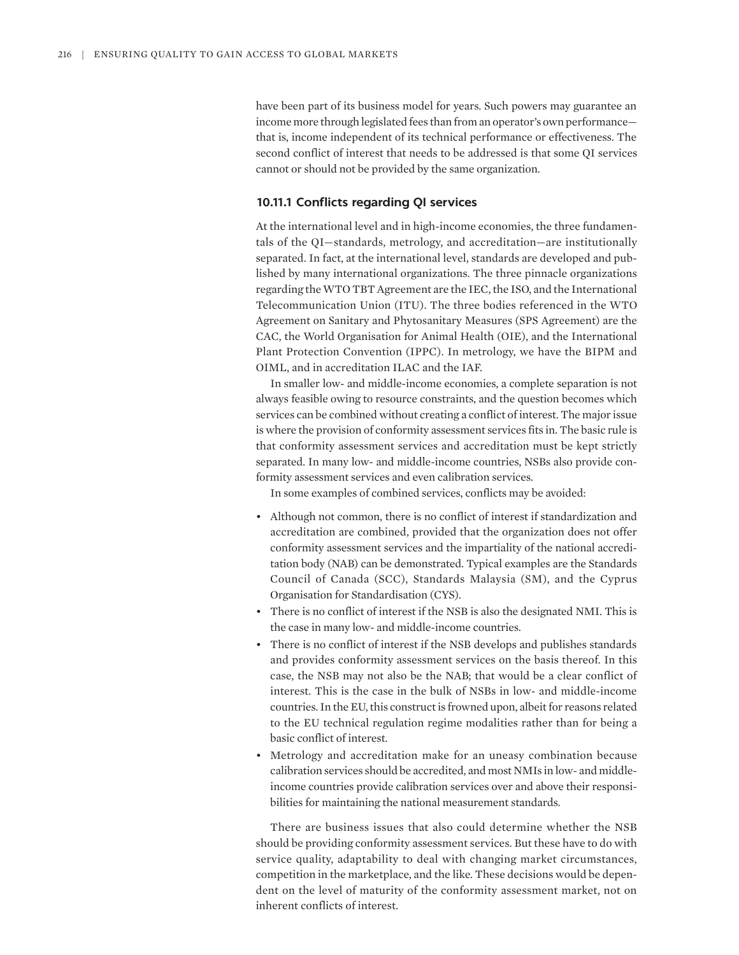have been part of its business model for years. Such powers may guarantee an income more through legislated fees than from an operator's own performance that is, income independent of its technical performance or effectiveness. The second conflict of interest that needs to be addressed is that some QI services cannot or should not be provided by the same organization.

# **10.11.1 Conflicts regarding QI services**

At the international level and in high-income economies, the three fundamentals of the QI—standards, metrology, and accreditation—are institutionally separated. In fact, at the international level, standards are developed and published by many international organizations. The three pinnacle organizations regarding the WTO TBT Agreement are the IEC, the ISO, and the International Telecommunication Union (ITU). The three bodies referenced in the WTO Agreement on Sanitary and Phytosanitary Measures (SPS Agreement) are the CAC, the World Organisation for Animal Health (OIE), and the International Plant Protection Convention (IPPC). In metrology, we have the BIPM and OIML, and in accreditation ILAC and the IAF.

In smaller low- and middle-income economies, a complete separation is not always feasible owing to resource constraints, and the question becomes which services can be combined without creating a conflict of interest. The major issue is where the provision of conformity assessment services fits in. The basic rule is that conformity assessment services and accreditation must be kept strictly separated. In many low- and middle-income countries, NSBs also provide conformity assessment services and even calibration services.

In some examples of combined services, conflicts may be avoided:

- Although not common, there is no conflict of interest if standardization and accreditation are combined, provided that the organization does not offer conformity assessment services and the impartiality of the national accreditation body (NAB) can be demonstrated. Typical examples are the Standards Council of Canada (SCC), Standards Malaysia (SM), and the Cyprus Organisation for Standardisation (CYS).
- There is no conflict of interest if the NSB is also the designated NMI. This is the case in many low- and middle-income countries.
- There is no conflict of interest if the NSB develops and publishes standards and provides conformity assessment services on the basis thereof. In this case, the NSB may not also be the NAB; that would be a clear conflict of interest. This is the case in the bulk of NSBs in low- and middle-income countries. In the EU, this construct is frowned upon, albeit for reasons related to the EU technical regulation regime modalities rather than for being a basic conflict of interest.
- Metrology and accreditation make for an uneasy combination because calibration services should be accredited, and most NMIs in low- and middleincome countries provide calibration services over and above their responsibilities for maintaining the national measurement standards.

There are business issues that also could determine whether the NSB should be providing conformity assessment services. But these have to do with service quality, adaptability to deal with changing market circumstances, competition in the marketplace, and the like. These decisions would be dependent on the level of maturity of the conformity assessment market, not on inherent conflicts of interest.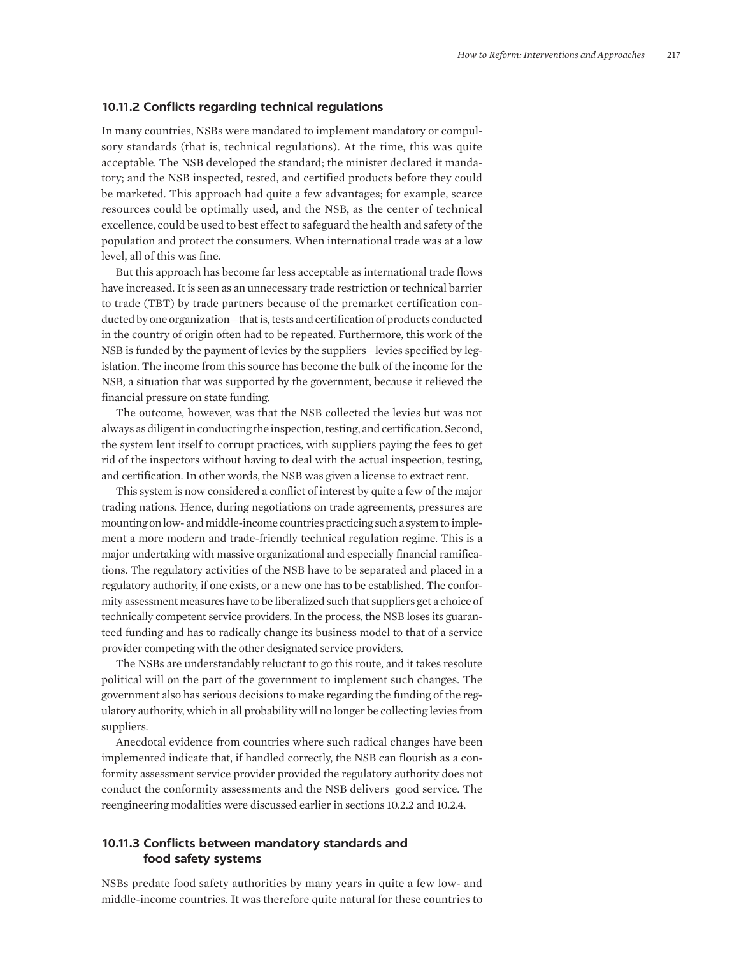#### **10.11.2 Conflicts regarding technical regulations**

In many countries, NSBs were mandated to implement mandatory or compulsory standards (that is, technical regulations). At the time, this was quite acceptable. The NSB developed the standard; the minister declared it mandatory; and the NSB inspected, tested, and certified products before they could be marketed. This approach had quite a few advantages; for example, scarce resources could be optimally used, and the NSB, as the center of technical excellence, could be used to best effect to safeguard the health and safety of the population and protect the consumers. When international trade was at a low level, all of this was fine.

But this approach has become far less acceptable as international trade flows have increased. It is seen as an unnecessary trade restriction or technical barrier to trade (TBT) by trade partners because of the premarket certification conducted by one organization—that is, tests and certification of products conducted in the country of origin often had to be repeated. Furthermore, this work of the NSB is funded by the payment of levies by the suppliers—levies specified by legislation. The income from this source has become the bulk of the income for the NSB, a situation that was supported by the government, because it relieved the financial pressure on state funding.

The outcome, however, was that the NSB collected the levies but was not always as diligent in conducting the inspection, testing, and certification. Second, the system lent itself to corrupt practices, with suppliers paying the fees to get rid of the inspectors without having to deal with the actual inspection, testing, and certification. In other words, the NSB was given a license to extract rent.

This system is now considered a conflict of interest by quite a few of the major trading nations. Hence, during negotiations on trade agreements, pressures are mounting on low- and middle-income countries practicing such a system to implement a more modern and trade-friendly technical regulation regime. This is a major undertaking with massive organizational and especially financial ramifications. The regulatory activities of the NSB have to be separated and placed in a regulatory authority, if one exists, or a new one has to be established. The conformity assessment measures have to be liberalized such that suppliers get a choice of technically competent service providers. In the process, the NSB loses its guaranteed funding and has to radically change its business model to that of a service provider competing with the other designated service providers.

The NSBs are understandably reluctant to go this route, and it takes resolute political will on the part of the government to implement such changes. The government also has serious decisions to make regarding the funding of the regulatory authority, which in all probability will no longer be collecting levies from suppliers.

Anecdotal evidence from countries where such radical changes have been implemented indicate that, if handled correctly, the NSB can flourish as a conformity assessment service provider provided the regulatory authority does not conduct the conformity assessments and the NSB delivers good service. The reengineering modalities were discussed earlier in sections 10.2.2 and 10.2.4.

# **10.11.3 Conflicts between mandatory standards and food safety systems**

NSBs predate food safety authorities by many years in quite a few low- and middle-income countries. It was therefore quite natural for these countries to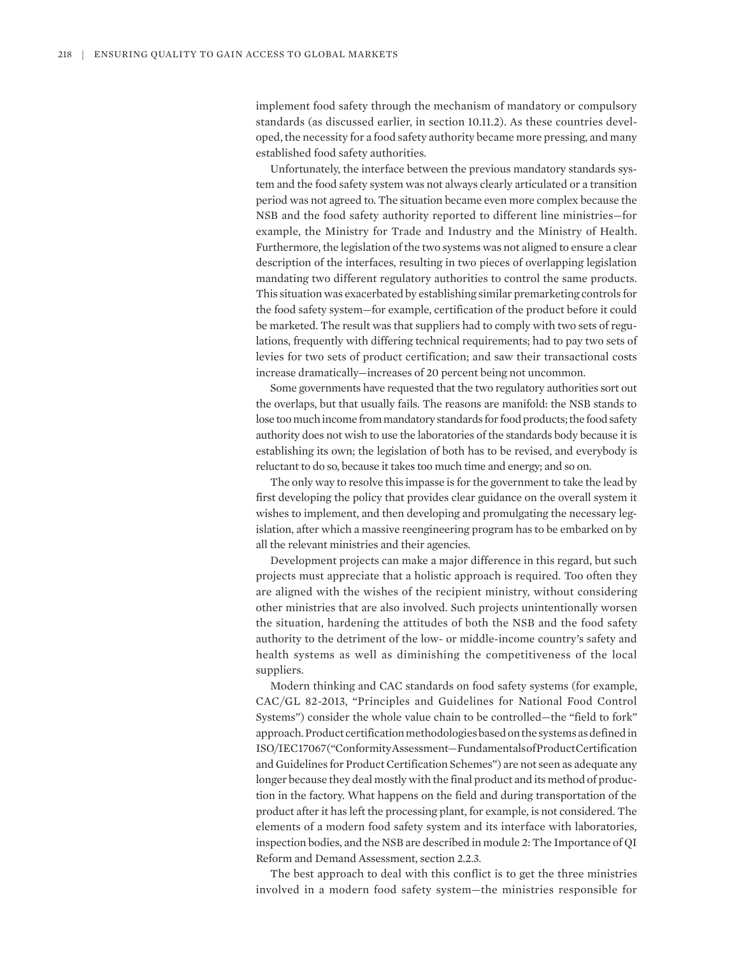implement food safety through the mechanism of mandatory or compulsory standards (as discussed earlier, in section 10.11.2). As these countries developed, the necessity for a food safety authority became more pressing, and many established food safety authorities.

Unfortunately, the interface between the previous mandatory standards system and the food safety system was not always clearly articulated or a transition period was not agreed to. The situation became even more complex because the NSB and the food safety authority reported to different line ministries—for example, the Ministry for Trade and Industry and the Ministry of Health. Furthermore, the legislation of the two systems was not aligned to ensure a clear description of the interfaces, resulting in two pieces of overlapping legislation mandating two different regulatory authorities to control the same products. This situation was exacerbated by establishing similar premarketing controls for the food safety system—for example, certification of the product before it could be marketed. The result was that suppliers had to comply with two sets of regulations, frequently with differing technical requirements; had to pay two sets of levies for two sets of product certification; and saw their transactional costs increase dramatically—increases of 20 percent being not uncommon.

Some governments have requested that the two regulatory authorities sort out the overlaps, but that usually fails. The reasons are manifold: the NSB stands to lose too much income from mandatory standards for food products; the food safety authority does not wish to use the laboratories of the standards body because it is establishing its own; the legislation of both has to be revised, and everybody is reluctant to do so, because it takes too much time and energy; and so on.

The only way to resolve this impasse is for the government to take the lead by first developing the policy that provides clear guidance on the overall system it wishes to implement, and then developing and promulgating the necessary legislation, after which a massive reengineering program has to be embarked on by all the relevant ministries and their agencies.

Development projects can make a major difference in this regard, but such projects must appreciate that a holistic approach is required. Too often they are aligned with the wishes of the recipient ministry, without considering other ministries that are also involved. Such projects unintentionally worsen the situation, hardening the attitudes of both the NSB and the food safety authority to the detriment of the low- or middle-income country's safety and health systems as well as diminishing the competitiveness of the local suppliers.

Modern thinking and CAC standards on food safety systems (for example, CAC/GL 82-2013, "Principles and Guidelines for National Food Control Systems") consider the whole value chain to be controlled—the "field to fork" approach. Product certification methodologies based on the systems as defined in ISO/IEC 17067 ("Conformity Assessment—Fundamentals of Product Certification and Guidelines for Product Certification Schemes") are not seen as adequate any longer because they deal mostly with the final product and its method of production in the factory. What happens on the field and during transportation of the product after it has left the processing plant, for example, is not considered. The elements of a modern food safety system and its interface with laboratories, inspection bodies, and the NSB are described in module 2: The Importance of QI Reform and Demand Assessment, section 2.2.3.

The best approach to deal with this conflict is to get the three ministries involved in a modern food safety system—the ministries responsible for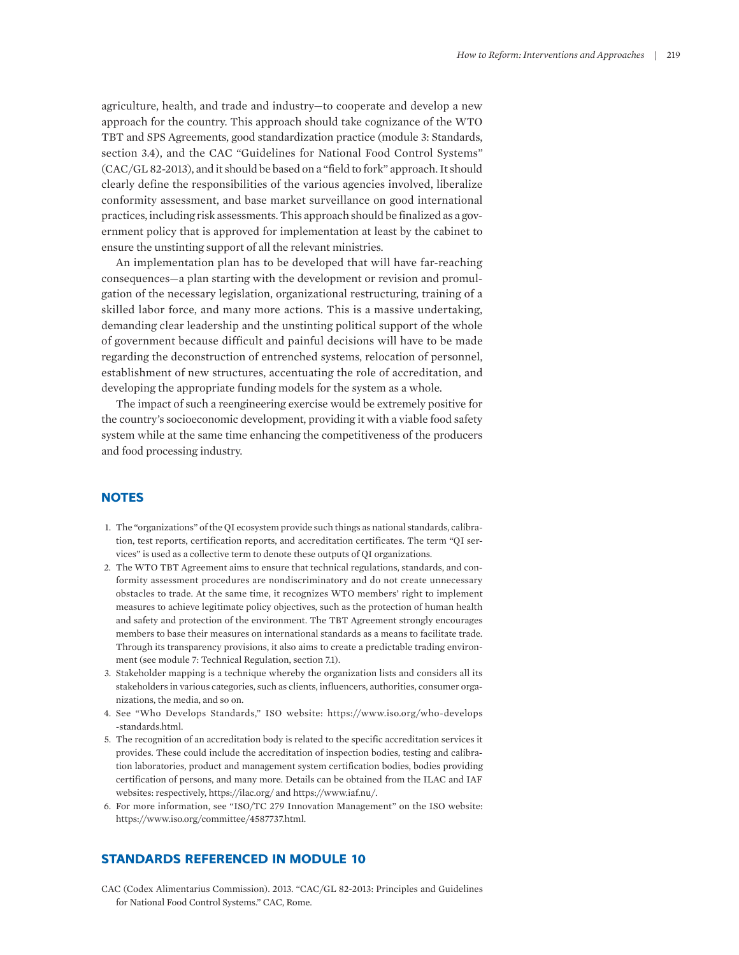agriculture, health, and trade and industry—to cooperate and develop a new approach for the country. This approach should take cognizance of the WTO TBT and SPS Agreements, good standardization practice (module 3: Standards, section 3.4), and the CAC "Guidelines for National Food Control Systems" (CAC/GL 82-2013), and it should be based on a "field to fork" approach. It should clearly define the responsibilities of the various agencies involved, liberalize conformity assessment, and base market surveillance on good international practices, including risk assessments. This approach should be finalized as a government policy that is approved for implementation at least by the cabinet to ensure the unstinting support of all the relevant ministries.

An implementation plan has to be developed that will have far-reaching consequences—a plan starting with the development or revision and promulgation of the necessary legislation, organizational restructuring, training of a skilled labor force, and many more actions. This is a massive undertaking, demanding clear leadership and the unstinting political support of the whole of government because difficult and painful decisions will have to be made regarding the deconstruction of entrenched systems, relocation of personnel, establishment of new structures, accentuating the role of accreditation, and developing the appropriate funding models for the system as a whole.

The impact of such a reengineering exercise would be extremely positive for the country's socioeconomic development, providing it with a viable food safety system while at the same time enhancing the competitiveness of the producers and food processing industry.

# **NOTES**

- 1. The "organizations" of the QI ecosystem provide such things as national standards, calibration, test reports, certification reports, and accreditation certificates. The term "QI services" is used as a collective term to denote these outputs of QI organizations.
- 2. The WTO TBT Agreement aims to ensure that technical regulations, standards, and conformity assessment procedures are nondiscriminatory and do not create unnecessary obstacles to trade. At the same time, it recognizes WTO members' right to implement measures to achieve legitimate policy objectives, such as the protection of human health and safety and protection of the environment. The TBT Agreement strongly encourages members to base their measures on international standards as a means to facilitate trade. Through its transparency provisions, it also aims to create a predictable trading environment (see module 7: Technical Regulation, section 7.1).
- 3. Stakeholder mapping is a technique whereby the organization lists and considers all its stakeholders in various categories, such as clients, influencers, authorities, consumer organizations, the media, and so on.
- 4. See "Who Develops Standards," ISO website: [https://www.iso.org/who-develops](https://www.iso.org/who-develops-standards.html) [-standards.html](https://www.iso.org/who-develops-standards.html).
- 5. The recognition of an accreditation body is related to the specific accreditation services it provides. These could include the accreditation of inspection bodies, testing and calibration laboratories, product and management system certification bodies, bodies providing certification of persons, and many more. Details can be obtained from the ILAC and IAF websites: respectively, <https://ilac.org/> and <https://www.iaf.nu/>.
- 6. For more information, see "ISO/TC 279 Innovation Management" on the ISO website: [https://www.iso.org/committee/4587737.html.](https://www.iso.org/committee/4587737.html)

### **STANDARDS REFERENCED IN MODULE 10**

CAC (Codex Alimentarius Commission). 2013. "CAC/GL 82-2013: Principles and Guidelines for National Food Control Systems." CAC, Rome.